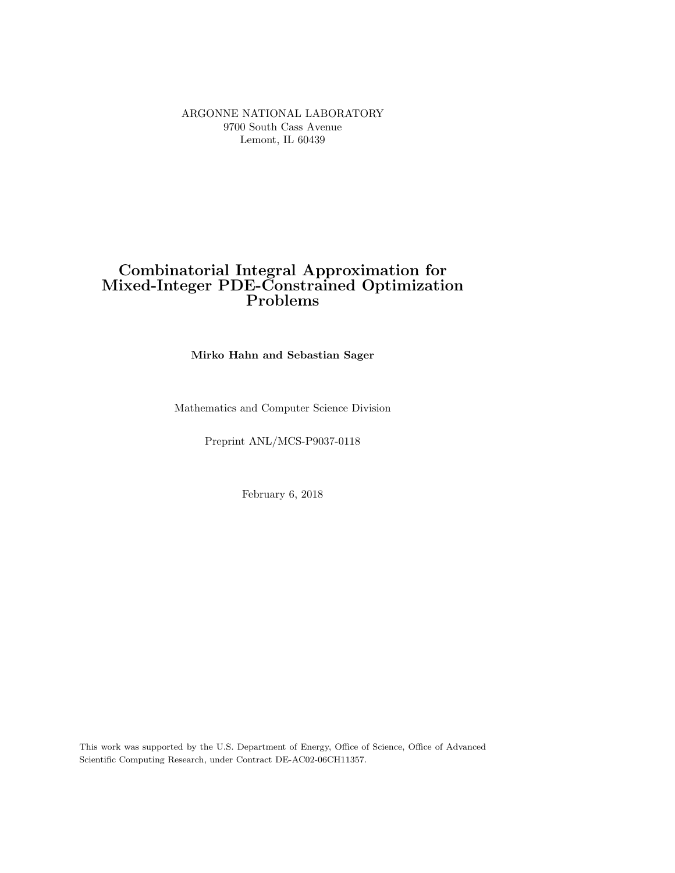ARGONNE NATIONAL LABORATORY 9700 South Cass Avenue Lemont, IL 60439

# Combinatorial Integral Approximation for Mixed-Integer PDE-Constrained Optimization Problems

Mirko Hahn and Sebastian Sager

Mathematics and Computer Science Division

Preprint ANL/MCS-P9037-0118

February 6, 2018

This work was supported by the U.S. Department of Energy, Office of Science, Office of Advanced Scientific Computing Research, under Contract DE-AC02-06CH11357.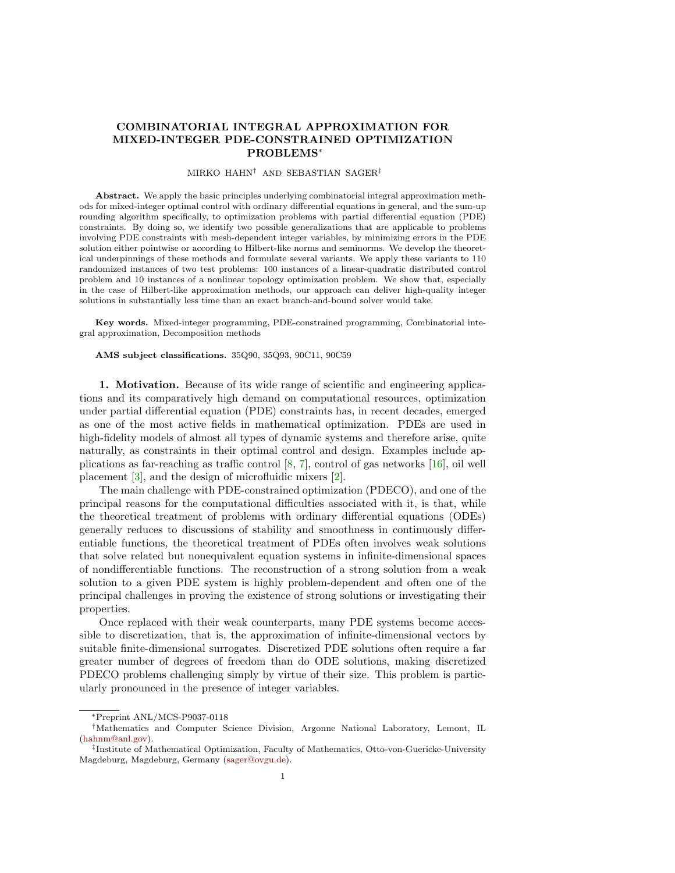## COMBINATORIAL INTEGRAL APPROXIMATION FOR MIXED-INTEGER PDE-CONSTRAINED OPTIMIZATION PROBLEMS<sup>∗</sup>

#### MIRKO HAHN† AND SEBASTIAN SAGER‡

Abstract. We apply the basic principles underlying combinatorial integral approximation methods for mixed-integer optimal control with ordinary differential equations in general, and the sum-up rounding algorithm specifically, to optimization problems with partial differential equation (PDE) constraints. By doing so, we identify two possible generalizations that are applicable to problems involving PDE constraints with mesh-dependent integer variables, by minimizing errors in the PDE solution either pointwise or according to Hilbert-like norms and seminorms. We develop the theoretical underpinnings of these methods and formulate several variants. We apply these variants to 110 randomized instances of two test problems: 100 instances of a linear-quadratic distributed control problem and 10 instances of a nonlinear topology optimization problem. We show that, especially in the case of Hilbert-like approximation methods, our approach can deliver high-quality integer solutions in substantially less time than an exact branch-and-bound solver would take.

Key words. Mixed-integer programming, PDE-constrained programming, Combinatorial integral approximation, Decomposition methods

#### AMS subject classifications. 35Q90, 35Q93, 90C11, 90C59

1. Motivation. Because of its wide range of scientific and engineering applications and its comparatively high demand on computational resources, optimization under partial differential equation (PDE) constraints has, in recent decades, emerged as one of the most active fields in mathematical optimization. PDEs are used in high-fidelity models of almost all types of dynamic systems and therefore arise, quite naturally, as constraints in their optimal control and design. Examples include applications as far-reaching as traffic control  $[8, 7]$  $[8, 7]$ , control of gas networks  $[16]$ , oil well placement [\[3\]](#page-26-2), and the design of microfluidic mixers [\[2\]](#page-26-3).

The main challenge with PDE-constrained optimization (PDECO), and one of the principal reasons for the computational difficulties associated with it, is that, while the theoretical treatment of problems with ordinary differential equations (ODEs) generally reduces to discussions of stability and smoothness in continuously differentiable functions, the theoretical treatment of PDEs often involves weak solutions that solve related but nonequivalent equation systems in infinite-dimensional spaces of nondifferentiable functions. The reconstruction of a strong solution from a weak solution to a given PDE system is highly problem-dependent and often one of the principal challenges in proving the existence of strong solutions or investigating their properties.

Once replaced with their weak counterparts, many PDE systems become accessible to discretization, that is, the approximation of infinite-dimensional vectors by suitable finite-dimensional surrogates. Discretized PDE solutions often require a far greater number of degrees of freedom than do ODE solutions, making discretized PDECO problems challenging simply by virtue of their size. This problem is particularly pronounced in the presence of integer variables.

<sup>∗</sup>Preprint ANL/MCS-P9037-0118

<sup>†</sup>Mathematics and Computer Science Division, Argonne National Laboratory, Lemont, IL [\(hahnm@anl.gov\)](mailto:hahnm@anl.gov).

<sup>‡</sup> Institute of Mathematical Optimization, Faculty of Mathematics, Otto-von-Guericke-University Magdeburg, Magdeburg, Germany [\(sager@ovgu.de\)](mailto:sager@ovgu.de).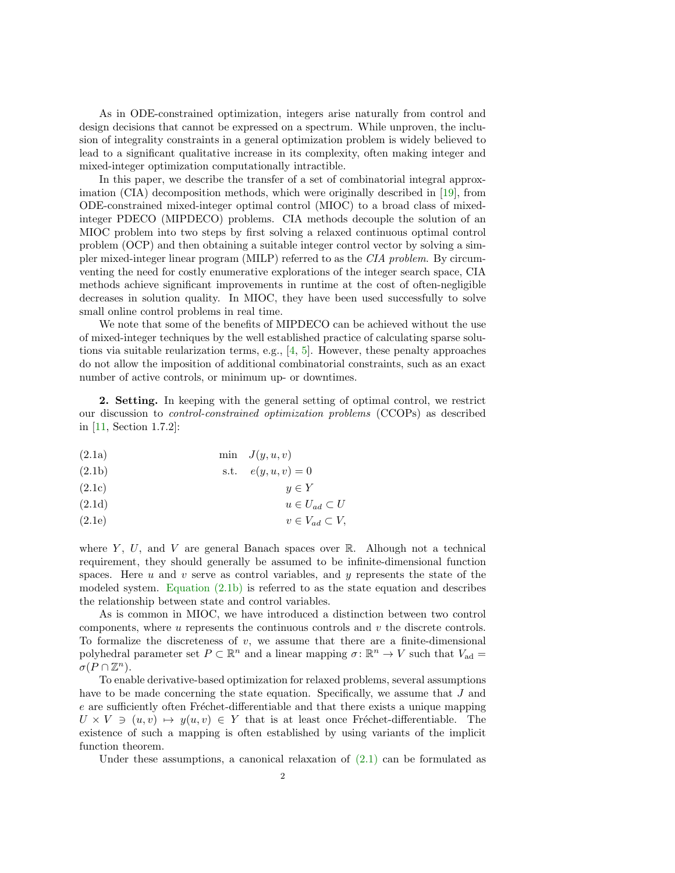As in ODE-constrained optimization, integers arise naturally from control and design decisions that cannot be expressed on a spectrum. While unproven, the inclusion of integrality constraints in a general optimization problem is widely believed to lead to a significant qualitative increase in its complexity, often making integer and mixed-integer optimization computationally intractible.

In this paper, we describe the transfer of a set of combinatorial integral approximation (CIA) decomposition methods, which were originally described in [\[19\]](#page-27-1), from ODE-constrained mixed-integer optimal control (MIOC) to a broad class of mixedinteger PDECO (MIPDECO) problems. CIA methods decouple the solution of an MIOC problem into two steps by first solving a relaxed continuous optimal control problem (OCP) and then obtaining a suitable integer control vector by solving a simpler mixed-integer linear program (MILP) referred to as the CIA problem. By circumventing the need for costly enumerative explorations of the integer search space, CIA methods achieve significant improvements in runtime at the cost of often-negligible decreases in solution quality. In MIOC, they have been used successfully to solve small online control problems in real time.

We note that some of the benefits of MIPDECO can be achieved without the use of mixed-integer techniques by the well established practice of calculating sparse solutions via suitable reularization terms, e.g.,  $[4, 5]$  $[4, 5]$ . However, these penalty approaches do not allow the imposition of additional combinatorial constraints, such as an exact number of active controls, or minimum up- or downtimes.

<span id="page-2-1"></span>2. Setting. In keeping with the general setting of optimal control, we restrict our discussion to control-constrained optimization problems (CCOPs) as described in [\[11,](#page-26-6) Section 1.7.2]:

- (2.1a) min  $J(y, u, v)$
- <span id="page-2-0"></span>(2.1b) s.t.  $e(y, u, v) = 0$
- (2.1c)  $y \in Y$
- (2.1d)  $u \in U_{ad} \subset U$
- (2.1e)  $v \in V_{ad} \subset V$ ,

where Y, U, and V are general Banach spaces over R. Alhough not a technical requirement, they should generally be assumed to be infinite-dimensional function spaces. Here  $u$  and  $v$  serve as control variables, and  $y$  represents the state of the modeled system. [Equation \(2.1b\)](#page-2-0) is referred to as the state equation and describes the relationship between state and control variables.

As is common in MIOC, we have introduced a distinction between two control components, where  $u$  represents the continuous controls and  $v$  the discrete controls. To formalize the discreteness of  $v$ , we assume that there are a finite-dimensional polyhedral parameter set  $P \subset \mathbb{R}^n$  and a linear mapping  $\sigma \colon \mathbb{R}^n \to V$  such that  $V_{ad} =$  $\sigma(P\cap \mathbb{Z}^n)$ .

To enable derivative-based optimization for relaxed problems, several assumptions have to be made concerning the state equation. Specifically, we assume that J and  $e$  are sufficiently often Fréchet-differentiable and that there exists a unique mapping  $U \times V \ni (u, v) \mapsto y(u, v) \in Y$  that is at least once Fréchet-differentiable. The existence of such a mapping is often established by using variants of the implicit function theorem.

Under these assumptions, a canonical relaxation of  $(2.1)$  can be formulated as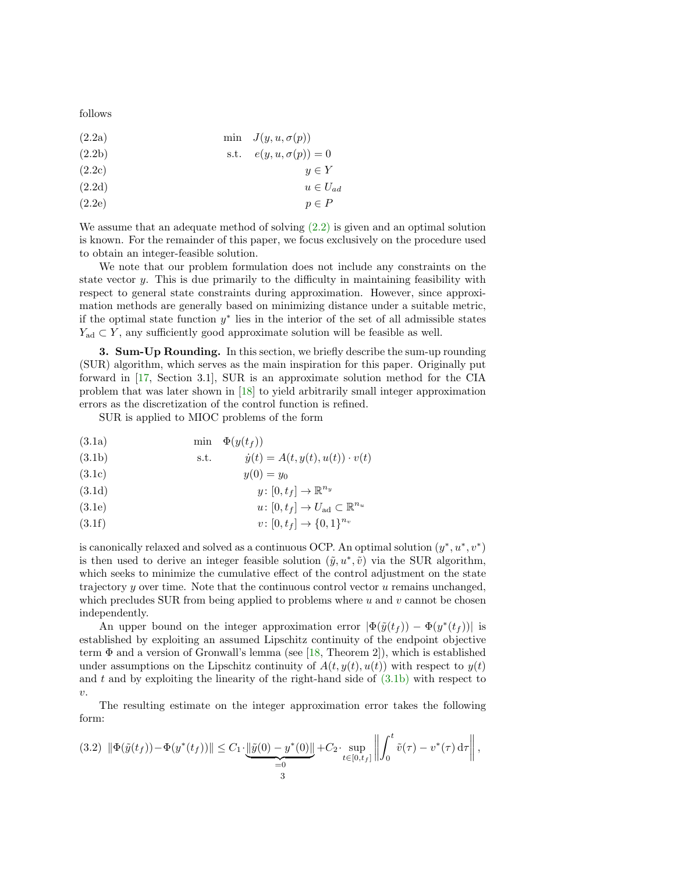<span id="page-3-0"></span>follows

- $(2.2a)$  min  $J(y, u, \sigma(p))$
- (2.2b) s.t.  $e(y, u, \sigma(p)) = 0$
- $(2.2c)$  y  $\in Y$
- (2.2d)  $u \in U_{ad}$
- $(2.2e)$  p  $\in$  P

We assume that an adequate method of solving  $(2.2)$  is given and an optimal solution is known. For the remainder of this paper, we focus exclusively on the procedure used to obtain an integer-feasible solution.

We note that our problem formulation does not include any constraints on the state vector  $y$ . This is due primarily to the difficulty in maintaining feasibility with respect to general state constraints during approximation. However, since approximation methods are generally based on minimizing distance under a suitable metric, if the optimal state function  $y^*$  lies in the interior of the set of all admissible states  $Y_{\text{ad}} \subset Y$ , any sufficiently good approximate solution will be feasible as well.

<span id="page-3-2"></span>3. Sum-Up Rounding. In this section, we briefly describe the sum-up rounding (SUR) algorithm, which serves as the main inspiration for this paper. Originally put forward in [\[17,](#page-27-2) Section 3.1], SUR is an approximate solution method for the CIA problem that was later shown in [\[18\]](#page-27-3) to yield arbitrarily small integer approximation errors as the discretization of the control function is refined.

SUR is applied to MIOC problems of the form

- (3.1a) min  $\Phi(y(t_f))$
- <span id="page-3-1"></span>(3.1b) s.t.  $\dot{y}(t) = A(t, y(t), u(t)) \cdot v(t)$
- (3.1c)  $y(0) = y_0$
- $y\colon [0,t_f]\to\mathbb{R}^{n_y}$ (3.1d)
- (3.1e)  $u: [0, t_f] \to U_{ad} \subset \mathbb{R}^{n_u}$
- $v: [0, t_f] \to \{0, 1\}^{n_v}$ (3.1f)

is canonically relaxed and solved as a continuous OCP. An optimal solution  $(y^*, u^*, v^*)$ is then used to derive an integer feasible solution  $(\tilde{y}, u^*, \tilde{v})$  via the SUR algorithm, which seeks to minimize the cumulative effect of the control adjustment on the state trajectory y over time. Note that the continuous control vector u remains unchanged, which precludes SUR from being applied to problems where  $u$  and  $v$  cannot be chosen independently.

An upper bound on the integer approximation error  $|\Phi(\tilde{y}(t_f)) - \Phi(y^*(t_f))|$  is established by exploiting an assumed Lipschitz continuity of the endpoint objective term  $\Phi$  and a version of Gronwall's lemma (see [\[18,](#page-27-3) Theorem 2]), which is established under assumptions on the Lipschitz continuity of  $A(t, y(t), u(t))$  with respect to  $y(t)$ and  $t$  and by exploiting the linearity of the right-hand side of  $(3.1b)$  with respect to  $\upsilon$ .

The resulting estimate on the integer approximation error takes the following form:

$$
(3.2) \|\Phi(\tilde{y}(t_f)) - \Phi(y^*(t_f))\| \leq C_1 \cdot \underbrace{\|\tilde{y}(0) - y^*(0)\|}_{=0} + C_2 \cdot \sup_{t \in [0, t_f]} \left\| \int_0^t \tilde{v}(\tau) - v^*(\tau) d\tau \right\|,
$$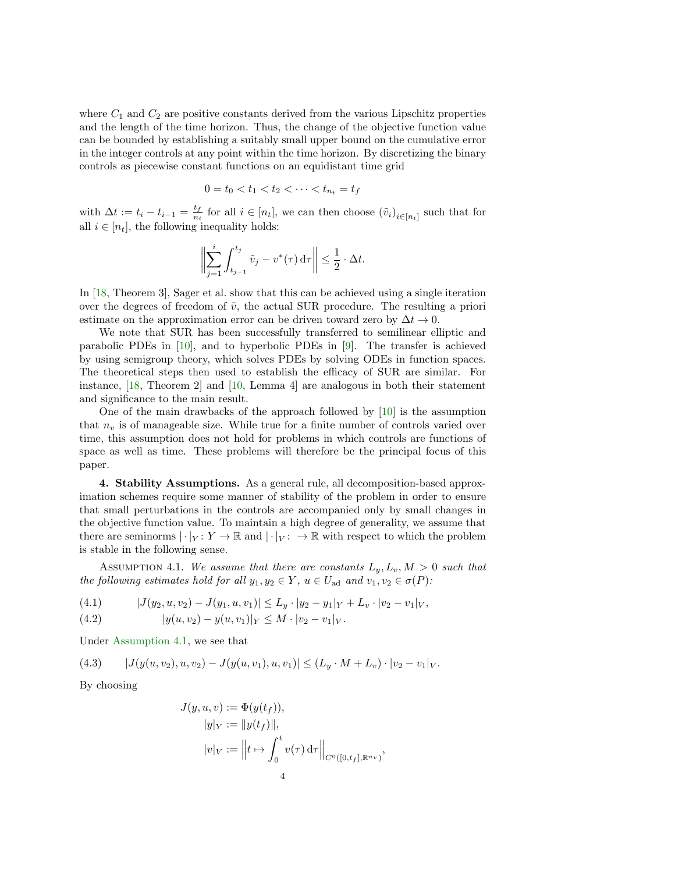where  $C_1$  and  $C_2$  are positive constants derived from the various Lipschitz properties and the length of the time horizon. Thus, the change of the objective function value can be bounded by establishing a suitably small upper bound on the cumulative error in the integer controls at any point within the time horizon. By discretizing the binary controls as piecewise constant functions on an equidistant time grid

$$
0 = t_0 < t_1 < t_2 < \cdots < t_{n_t} = t_f
$$

with  $\Delta t := t_i - t_{i-1} = \frac{t_f}{n_i}$  $\frac{t_f}{n_t}$  for all  $i \in [n_t]$ , we can then choose  $(\tilde{v}_i)_{i \in [n_t]}$  such that for all  $i \in [n_t]$ , the following inequality holds:

$$
\biggl\|\sum_{j=1}^i \int_{t_{j-1}}^{t_j} \tilde v_j - v^*(\tau)\,{\mathrm d}\tau\biggr\| \leq \frac12\cdot \Delta t.
$$

In [\[18,](#page-27-3) Theorem 3], Sager et al. show that this can be achieved using a single iteration over the degrees of freedom of  $\tilde{v}$ , the actual SUR procedure. The resulting a priori estimate on the approximation error can be driven toward zero by  $\Delta t \to 0$ .

We note that SUR has been successfully transferred to semilinear elliptic and parabolic PDEs in [\[10\]](#page-26-7), and to hyperbolic PDEs in [\[9\]](#page-26-8). The transfer is achieved by using semigroup theory, which solves PDEs by solving ODEs in function spaces. The theoretical steps then used to establish the efficacy of SUR are similar. For instance, [\[18,](#page-27-3) Theorem 2] and [\[10,](#page-26-7) Lemma 4] are analogous in both their statement and significance to the main result.

One of the main drawbacks of the approach followed by  $[10]$  is the assumption that  $n_v$  is of manageable size. While true for a finite number of controls varied over time, this assumption does not hold for problems in which controls are functions of space as well as time. These problems will therefore be the principal focus of this paper.

4. Stability Assumptions. As a general rule, all decomposition-based approximation schemes require some manner of stability of the problem in order to ensure that small perturbations in the controls are accompanied only by small changes in the objective function value. To maintain a high degree of generality, we assume that there are seminorms  $|\cdot|_Y: Y \to \mathbb{R}$  and  $|\cdot|_V: \to \mathbb{R}$  with respect to which the problem is stable in the following sense.

<span id="page-4-0"></span>ASSUMPTION 4.1. We assume that there are constants  $L_y, L_y, M > 0$  such that the following estimates hold for all  $y_1, y_2 \in Y$ ,  $u \in U_{ad}$  and  $v_1, v_2 \in \sigma(P)$ :

<span id="page-4-2"></span><span id="page-4-1"></span>(4.1) 
$$
|J(y_2, u, v_2) - J(y_1, u, v_1)| \leq L_y \cdot |y_2 - y_1|_Y + L_v \cdot |v_2 - v_1|_Y,
$$

(4.2) 
$$
|y(u,v_2)-y(u,v_1)|_Y \leq M \cdot |v_2-v_1|_V.
$$

Under [Assumption 4.1,](#page-4-0) we see that

<span id="page-4-3"></span>(4.3)  $|J(y(u, v_2), u, v_2) - J(y(u, v_1), u, v_1)| \leq (L_y \cdot M + L_v) \cdot |v_2 - v_1|_V$ .

By choosing

$$
J(y, u, v) := \Phi(y(t_f)),
$$
  
\n
$$
|y|_Y := ||y(t_f)||,
$$
  
\n
$$
|v|_V := ||t \mapsto \int_0^t v(\tau) d\tau||_{C^0([0, t_f], \mathbb{R}^{n_v})},
$$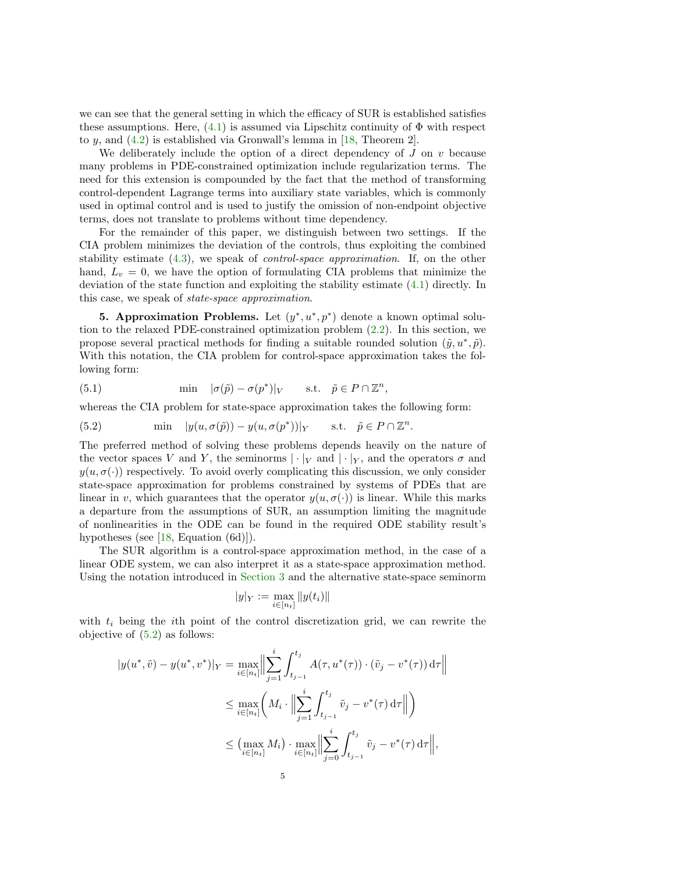we can see that the general setting in which the efficacy of SUR is established satisfies these assumptions. Here,  $(4.1)$  is assumed via Lipschitz continuity of  $\Phi$  with respect to y, and [\(4.2\)](#page-4-2) is established via Gronwall's lemma in [\[18,](#page-27-3) Theorem 2].

We deliberately include the option of a direct dependency of  $J$  on  $v$  because many problems in PDE-constrained optimization include regularization terms. The need for this extension is compounded by the fact that the method of transforming control-dependent Lagrange terms into auxiliary state variables, which is commonly used in optimal control and is used to justify the omission of non-endpoint objective terms, does not translate to problems without time dependency.

For the remainder of this paper, we distinguish between two settings. If the CIA problem minimizes the deviation of the controls, thus exploiting the combined stability estimate [\(4.3\)](#page-4-3), we speak of control-space approximation. If, on the other hand,  $L_v = 0$ , we have the option of formulating CIA problems that minimize the deviation of the state function and exploiting the stability estimate [\(4.1\)](#page-4-1) directly. In this case, we speak of state-space approximation.

**5. Approximation Problems.** Let  $(y^*, u^*, p^*)$  denote a known optimal solution to the relaxed PDE-constrained optimization problem [\(2.2\)](#page-3-0). In this section, we propose several practical methods for finding a suitable rounded solution  $(\tilde{y}, u^*, \tilde{p})$ . With this notation, the CIA problem for control-space approximation takes the following form:

(5.1) 
$$
\min \quad |\sigma(\tilde{p}) - \sigma(p^*)|_V \quad \text{s.t.} \quad \tilde{p} \in P \cap \mathbb{Z}^n,
$$

whereas the CIA problem for state-space approximation takes the following form:

<span id="page-5-0"></span>(5.2) 
$$
\min \quad |y(u, \sigma(\tilde{p})) - y(u, \sigma(p^*))|_Y \quad \text{s.t.} \quad \tilde{p} \in P \cap \mathbb{Z}^n.
$$

The preferred method of solving these problems depends heavily on the nature of the vector spaces V and Y, the seminorms  $|\cdot|_V$  and  $|\cdot|_Y$ , and the operators  $\sigma$  and  $y(u, \sigma(\cdot))$  respectively. To avoid overly complicating this discussion, we only consider state-space approximation for problems constrained by systems of PDEs that are linear in v, which guarantees that the operator  $y(u, \sigma(\cdot))$  is linear. While this marks a departure from the assumptions of SUR, an assumption limiting the magnitude of nonlinearities in the ODE can be found in the required ODE stability result's hypotheses (see [\[18,](#page-27-3) Equation (6d)]).

The SUR algorithm is a control-space approximation method, in the case of a linear ODE system, we can also interpret it as a state-space approximation method. Using the notation introduced in [Section 3](#page-3-2) and the alternative state-space seminorm

$$
|y|_Y:=\max_{i\in[n_t]}\|y(t_i)\|
$$

with  $t_i$  being the *i*th point of the control discretization grid, we can rewrite the objective of [\(5.2\)](#page-5-0) as follows:

$$
|y(u^*, \tilde{v}) - y(u^*, v^*)|_Y = \max_{i \in [n_t]} \Big\| \sum_{j=1}^i \int_{t_{j-1}}^{t_j} A(\tau, u^*(\tau)) \cdot (\tilde{v}_j - v^*(\tau)) d\tau \Big\|
$$
  

$$
\leq \max_{i \in [n_t]} \Big( M_i \cdot \Big\| \sum_{j=1}^i \int_{t_{j-1}}^{t_j} \tilde{v}_j - v^*(\tau) d\tau \Big\| \Big)
$$
  

$$
\leq \Big( \max_{i \in [n_t]} M_i \Big) \cdot \max_{i \in [n_t]} \Big\| \sum_{j=0}^i \int_{t_{j-1}}^{t_j} \tilde{v}_j - v^*(\tau) d\tau \Big\|,
$$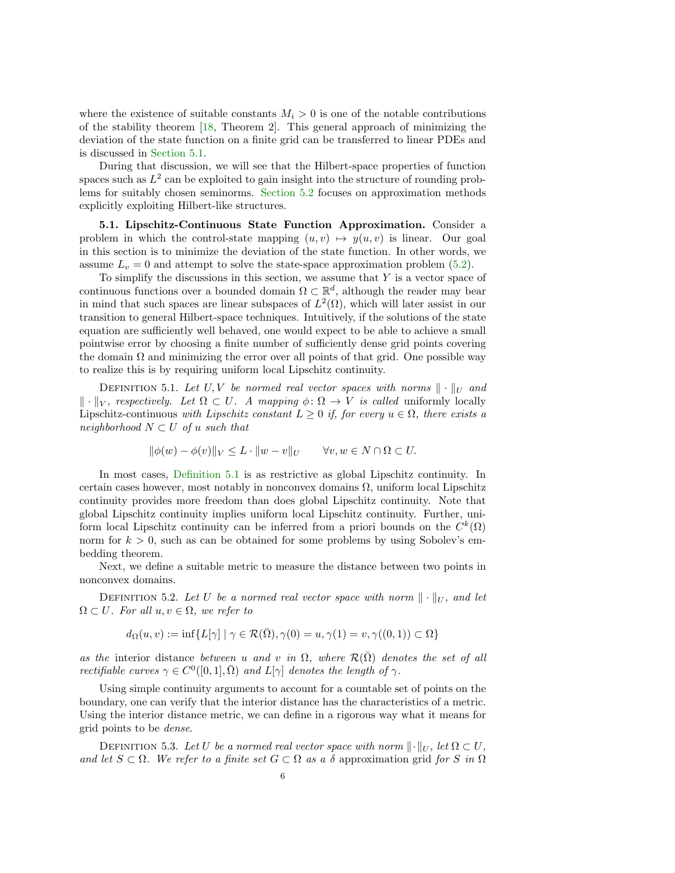where the existence of suitable constants  $M_i > 0$  is one of the notable contributions of the stability theorem [\[18,](#page-27-3) Theorem 2]. This general approach of minimizing the deviation of the state function on a finite grid can be transferred to linear PDEs and is discussed in [Section 5.1.](#page-6-0)

During that discussion, we will see that the Hilbert-space properties of function spaces such as  $L^2$  can be exploited to gain insight into the structure of rounding problems for suitably chosen seminorms. [Section 5.2](#page-9-0) focuses on approximation methods explicitly exploiting Hilbert-like structures.

<span id="page-6-0"></span>5.1. Lipschitz-Continuous State Function Approximation. Consider a problem in which the control-state mapping  $(u, v) \mapsto y(u, v)$  is linear. Our goal in this section is to minimize the deviation of the state function. In other words, we assume  $L_v = 0$  and attempt to solve the state-space approximation problem [\(5.2\)](#page-5-0).

To simplify the discussions in this section, we assume that  $Y$  is a vector space of continuous functions over a bounded domain  $\Omega \subset \mathbb{R}^d$ , although the reader may bear in mind that such spaces are linear subspaces of  $L^2(\Omega)$ , which will later assist in our transition to general Hilbert-space techniques. Intuitively, if the solutions of the state equation are sufficiently well behaved, one would expect to be able to achieve a small pointwise error by choosing a finite number of sufficiently dense grid points covering the domain  $\Omega$  and minimizing the error over all points of that grid. One possible way to realize this is by requiring uniform local Lipschitz continuity.

<span id="page-6-1"></span>DEFINITION 5.1. Let U, V be normed real vector spaces with norms  $\|\cdot\|_U$  and  $\Vert \cdot \Vert_V$ , respectively. Let  $\Omega \subset U$ . A mapping  $\phi \colon \Omega \to V$  is called uniformly locally Lipschitz-continuous with Lipschitz constant  $L \geq 0$  if, for every  $u \in \Omega$ , there exists a neighborhood  $N \subset U$  of u such that

$$
\|\phi(w) - \phi(v)\|_{V} \le L \cdot \|w - v\|_{U} \qquad \forall v, w \in N \cap \Omega \subset U.
$$

In most cases, [Definition 5.1](#page-6-1) is as restrictive as global Lipschitz continuity. In certain cases however, most notably in nonconvex domains  $\Omega$ , uniform local Lipschitz continuity provides more freedom than does global Lipschitz continuity. Note that global Lipschitz continuity implies uniform local Lipschitz continuity. Further, uniform local Lipschitz continuity can be inferred from a priori bounds on the  $C^k(\Omega)$ norm for  $k > 0$ , such as can be obtained for some problems by using Sobolev's embedding theorem.

Next, we define a suitable metric to measure the distance between two points in nonconvex domains.

<span id="page-6-3"></span>DEFINITION 5.2. Let U be a normed real vector space with norm  $\|\cdot\|_U$ , and let  $\Omega \subset U$ . For all  $u, v \in \Omega$ , we refer to

$$
d_{\Omega}(u, v) := \inf \{ L[\gamma] \mid \gamma \in \mathcal{R}(\overline{\Omega}), \gamma(0) = u, \gamma(1) = v, \gamma((0, 1)) \subset \Omega \}
$$

as the interior distance between u and v in  $\Omega$ , where  $\mathcal{R}(\bar{\Omega})$  denotes the set of all rectifiable curves  $\gamma \in C^0([0,1], \overline{\Omega})$  and  $L[\gamma]$  denotes the length of  $\gamma$ .

Using simple continuity arguments to account for a countable set of points on the boundary, one can verify that the interior distance has the characteristics of a metric. Using the interior distance metric, we can define in a rigorous way what it means for grid points to be dense.

<span id="page-6-2"></span>DEFINITION 5.3. Let U be a normed real vector space with norm  $\|\cdot\|_U$ , let  $\Omega \subset U$ , and let  $S \subset \Omega$ . We refer to a finite set  $G \subset \Omega$  as a  $\delta$  approximation grid for S in  $\Omega$ 6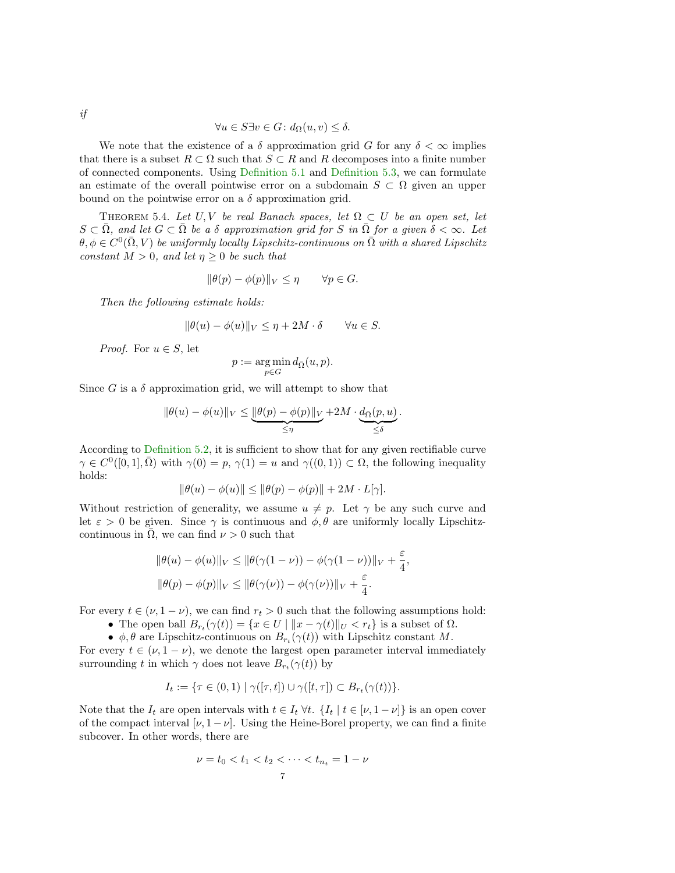$$
\forall u \in S \exists v \in G \colon d_{\Omega}(u, v) \le \delta.
$$

We note that the existence of a  $\delta$  approximation grid G for any  $\delta < \infty$  implies that there is a subset  $R \subset \Omega$  such that  $S \subset R$  and R decomposes into a finite number of connected components. Using [Definition 5.1](#page-6-1) and [Definition 5.3,](#page-6-2) we can formulate an estimate of the overall pointwise error on a subdomain  $S \subset \Omega$  given an upper bound on the pointwise error on a  $\delta$  approximation grid.

<span id="page-7-0"></span>THEOREM 5.4. Let U, V be real Banach spaces, let  $\Omega \subset U$  be an open set, let  $S \subset \overline{\Omega}$ , and let  $G \subset \overline{\Omega}$  be a  $\delta$  approximation grid for S in  $\overline{\Omega}$  for a given  $\delta < \infty$ . Let  $\theta, \phi \in C^0(\bar{\Omega}, V)$  be uniformly locally Lipschitz-continuous on  $\bar{\Omega}$  with a shared Lipschitz constant  $M > 0$ , and let  $\eta \geq 0$  be such that

$$
\|\theta(p) - \phi(p)\|_{V} \le \eta \qquad \forall p \in G.
$$

Then the following estimate holds:

$$
\|\theta(u) - \phi(u)\|_{V} \le \eta + 2M \cdot \delta \qquad \forall u \in S.
$$

*Proof.* For  $u \in S$ , let

$$
p := \underset{p \in G}{\arg \min} d_{\bar{\Omega}}(u, p).
$$

Since G is a  $\delta$  approximation grid, we will attempt to show that

$$
\|\theta(u) - \phi(u)\|_{V} \leq \underbrace{\|\theta(p) - \phi(p)\|_{V}}_{\leq \eta} + 2M \cdot \underbrace{d_{\bar{\Omega}}(p, u)}_{\leq \delta}.
$$

According to [Definition 5.2,](#page-6-3) it is sufficient to show that for any given rectifiable curve  $\gamma \in C^0([0,1], \overline{\Omega})$  with  $\gamma(0) = p$ ,  $\gamma(1) = u$  and  $\gamma((0,1)) \subset \Omega$ , the following inequality holds:

$$
\|\theta(u) - \phi(u)\| \le \|\theta(p) - \phi(p)\| + 2M \cdot L[\gamma].
$$

Without restriction of generality, we assume  $u \neq p$ . Let  $\gamma$  be any such curve and let  $\varepsilon > 0$  be given. Since  $\gamma$  is continuous and  $\phi, \theta$  are uniformly locally Lipschitzcontinuous in  $\overline{\Omega}$ , we can find  $\nu > 0$  such that

$$
\|\theta(u) - \phi(u)\|_{V} \le \|\theta(\gamma(1-\nu)) - \phi(\gamma(1-\nu))\|_{V} + \frac{\varepsilon}{4},
$$
  

$$
\|\theta(p) - \phi(p)\|_{V} \le \|\theta(\gamma(\nu)) - \phi(\gamma(\nu))\|_{V} + \frac{\varepsilon}{4}.
$$

For every  $t \in (\nu, 1 - \nu)$ , we can find  $r_t > 0$  such that the following assumptions hold:

- The open ball  $B_{r_t}(\gamma(t)) = \{x \in U \mid ||x \gamma(t)||_U < r_t\}$  is a subset of  $\Omega$ .
- $\phi$ ,  $\theta$  are Lipschitz-continuous on  $B_{r_t}(\gamma(t))$  with Lipschitz constant M.

For every  $t \in (\nu, 1 - \nu)$ , we denote the largest open parameter interval immediately surrounding t in which  $\gamma$  does not leave  $B_{r_t}(\gamma(t))$  by

$$
I_t := \{ \tau \in (0,1) \mid \gamma([\tau,t]) \cup \gamma([t,\tau]) \subset B_{r_t}(\gamma(t)) \}.
$$

Note that the  $I_t$  are open intervals with  $t \in I_t \forall t$ .  $\{I_t | t \in [\nu, 1 - \nu]\}$  is an open cover of the compact interval  $[\nu, 1 - \nu]$ . Using the Heine-Borel property, we can find a finite subcover. In other words, there are

$$
\nu = t_0 < t_1 < t_2 < \dots < t_{n_t} = 1 - \nu
$$
\n7

if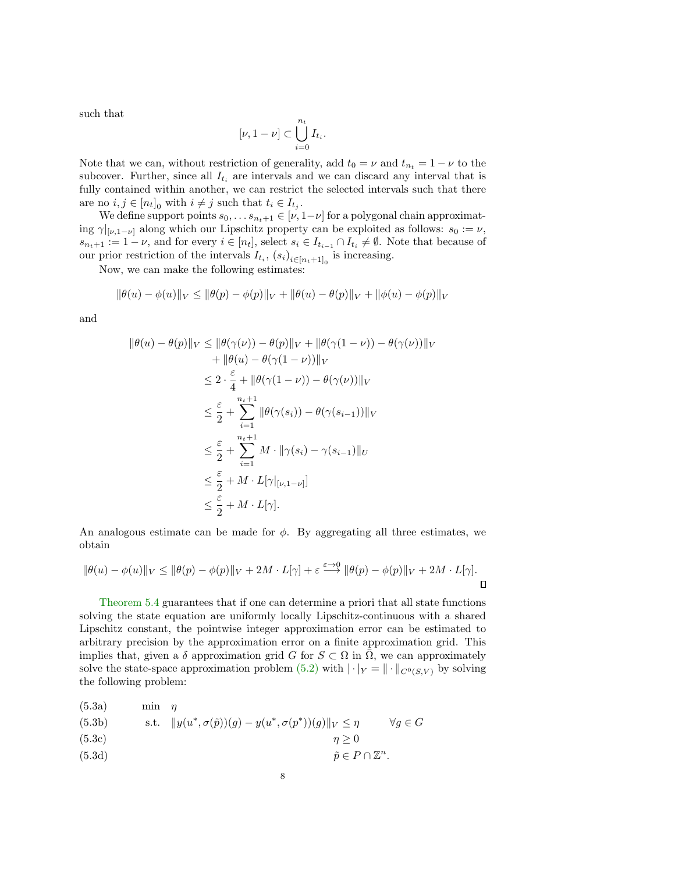such that

$$
[\nu, 1 - \nu] \subset \bigcup_{i=0}^{n_t} I_{t_i}.
$$

Note that we can, without restriction of generality, add  $t_0 = \nu$  and  $t_{n_t} = 1 - \nu$  to the subcover. Further, since all  $I_{t_i}$  are intervals and we can discard any interval that is fully contained within another, we can restrict the selected intervals such that there are no  $i, j \in [n_t]_0$  with  $i \neq j$  such that  $t_i \in I_{t_j}$ .

We define support points  $s_0, \ldots s_{n_t+1} \in [\nu, 1-\nu]$  for a polygonal chain approximating  $\gamma|_{[\nu,1-\nu]}$  along which our Lipschitz property can be exploited as follows:  $s_0 := \nu$ ,  $s_{n_t+1} := 1 - \nu$ , and for every  $i \in [n_t]$ , select  $s_i \in I_{t_{i-1}} \cap I_{t_i} \neq \emptyset$ . Note that because of our prior restriction of the intervals  $I_{t_i}$ ,  $(s_i)_{i \in [n_t+1]_0}$  is increasing.

Now, we can make the following estimates:

$$
\|\theta(u) - \phi(u)\|_{V} \le \|\theta(p) - \phi(p)\|_{V} + \|\theta(u) - \theta(p)\|_{V} + \|\phi(u) - \phi(p)\|_{V}
$$

and

$$
\|\theta(u) - \theta(p)\|_{V} \le \|\theta(\gamma(\nu)) - \theta(p)\|_{V} + \|\theta(\gamma(1-\nu)) - \theta(\gamma(\nu))\|_{V}
$$
  
+ 
$$
\|\theta(u) - \theta(\gamma(1-\nu))\|_{V}
$$
  

$$
\le 2 \cdot \frac{\varepsilon}{4} + \|\theta(\gamma(1-\nu)) - \theta(\gamma(\nu))\|_{V}
$$
  

$$
\le \frac{\varepsilon}{2} + \sum_{i=1}^{n_t+1} \|\theta(\gamma(s_i)) - \theta(\gamma(s_{i-1}))\|_{V}
$$
  

$$
\le \frac{\varepsilon}{2} + \sum_{i=1}^{n_t+1} M \cdot \|\gamma(s_i) - \gamma(s_{i-1})\|_{V}
$$
  

$$
\le \frac{\varepsilon}{2} + M \cdot L[\gamma|_{[\nu,1-\nu]}]
$$
  

$$
\le \frac{\varepsilon}{2} + M \cdot L[\gamma].
$$

An analogous estimate can be made for  $\phi$ . By aggregating all three estimates, we obtain

$$
\|\theta(u) - \phi(u)\|_{V} \le \|\theta(p) - \phi(p)\|_{V} + 2M \cdot L[\gamma] + \varepsilon \stackrel{\varepsilon \to 0}{\longrightarrow} \|\theta(p) - \phi(p)\|_{V} + 2M \cdot L[\gamma].
$$

[Theorem 5.4](#page-7-0) guarantees that if one can determine a priori that all state functions solving the state equation are uniformly locally Lipschitz-continuous with a shared Lipschitz constant, the pointwise integer approximation error can be estimated to arbitrary precision by the approximation error on a finite approximation grid. This implies that, given a  $\delta$  approximation grid G for  $S \subset \Omega$  in  $\overline{\Omega}$ , we can approximately solve the state-space approximation problem [\(5.2\)](#page-5-0) with  $|\cdot|_Y = ||\cdot||_{C^0(S,V)}$  by solving the following problem:

<span id="page-8-0"></span>

| (5.3b)<br>s.t. $  y(u^*, \sigma(\tilde{p}))(g) - y(u^*, \sigma(p^*)) (g)  _V \leq \eta$<br>(5.3c)<br>$\eta > 0$<br>(5.3d)<br>$\tilde{p} \in P \cap \mathbb{Z}^n$ . | (5.3a) | $min \eta$ |                   |
|--------------------------------------------------------------------------------------------------------------------------------------------------------------------|--------|------------|-------------------|
|                                                                                                                                                                    |        |            | $\forall q \in G$ |
|                                                                                                                                                                    |        |            |                   |
|                                                                                                                                                                    |        |            |                   |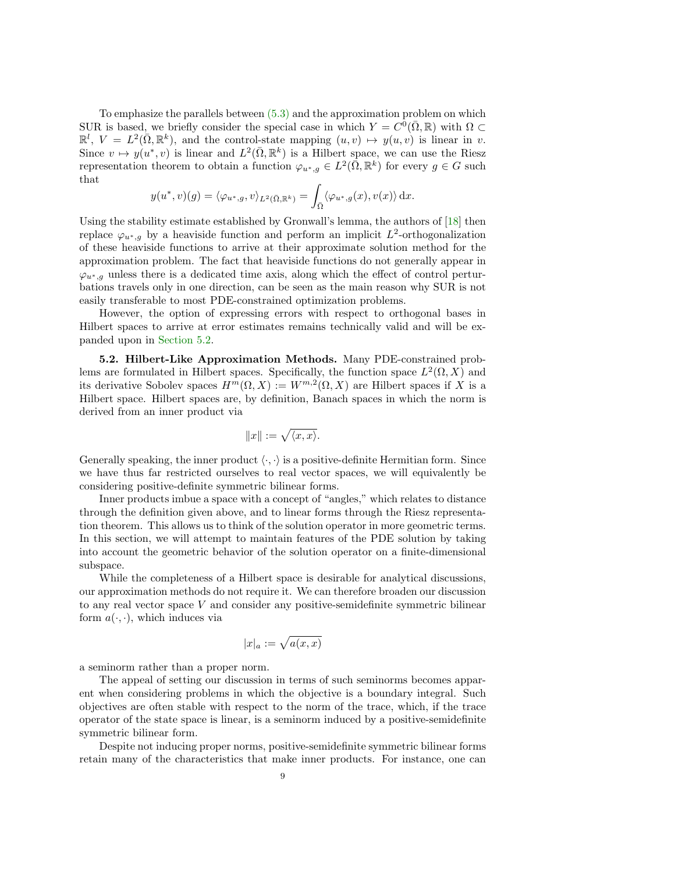To emphasize the parallels between  $(5.3)$  and the approximation problem on which SUR is based, we briefly consider the special case in which  $Y = C^0(\bar{\Omega}, \mathbb{R})$  with  $\Omega \subset$  $\mathbb{R}^l$ ,  $V = L^2(\overline{\Omega}, \mathbb{R}^k)$ , and the control-state mapping  $(u, v) \mapsto y(u, v)$  is linear in v. Since  $v \mapsto y(u^*, v)$  is linear and  $L^2(\bar{\Omega}, \mathbb{R}^k)$  is a Hilbert space, we can use the Riesz representation theorem to obtain a function  $\varphi_{u^*,g} \in L^2(\overline{\Omega}, \mathbb{R}^k)$  for every  $g \in G$  such that

$$
y(u^*, v)(g) = \langle \varphi_{u^*,g}, v \rangle_{L^2(\bar{\Omega}, \mathbb{R}^k)} = \int_{\bar{\Omega}} \langle \varphi_{u^*,g}(x), v(x) \rangle dx.
$$

Using the stability estimate established by Gronwall's lemma, the authors of [\[18\]](#page-27-3) then replace  $\varphi_{u^*,g}$  by a heaviside function and perform an implicit  $L^2$ -orthogonalization of these heaviside functions to arrive at their approximate solution method for the approximation problem. The fact that heaviside functions do not generally appear in  $\varphi_{u^*,g}$  unless there is a dedicated time axis, along which the effect of control perturbations travels only in one direction, can be seen as the main reason why SUR is not easily transferable to most PDE-constrained optimization problems.

However, the option of expressing errors with respect to orthogonal bases in Hilbert spaces to arrive at error estimates remains technically valid and will be expanded upon in [Section 5.2.](#page-9-0)

<span id="page-9-0"></span>5.2. Hilbert-Like Approximation Methods. Many PDE-constrained problems are formulated in Hilbert spaces. Specifically, the function space  $L^2(\Omega, X)$  and its derivative Sobolev spaces  $H^m(\Omega, X) := W^{m,2}(\Omega, X)$  are Hilbert spaces if X is a Hilbert space. Hilbert spaces are, by definition, Banach spaces in which the norm is derived from an inner product via

$$
||x||:=\sqrt{\langle x,x\rangle}.
$$

Generally speaking, the inner product  $\langle \cdot, \cdot \rangle$  is a positive-definite Hermitian form. Since we have thus far restricted ourselves to real vector spaces, we will equivalently be considering positive-definite symmetric bilinear forms.

Inner products imbue a space with a concept of "angles," which relates to distance through the definition given above, and to linear forms through the Riesz representation theorem. This allows us to think of the solution operator in more geometric terms. In this section, we will attempt to maintain features of the PDE solution by taking into account the geometric behavior of the solution operator on a finite-dimensional subspace.

While the completeness of a Hilbert space is desirable for analytical discussions, our approximation methods do not require it. We can therefore broaden our discussion to any real vector space V and consider any positive-semidefinite symmetric bilinear form  $a(\cdot, \cdot)$ , which induces via

$$
|x|_a := \sqrt{a(x,x)}
$$

a seminorm rather than a proper norm.

The appeal of setting our discussion in terms of such seminorms becomes apparent when considering problems in which the objective is a boundary integral. Such objectives are often stable with respect to the norm of the trace, which, if the trace operator of the state space is linear, is a seminorm induced by a positive-semidefinite symmetric bilinear form.

Despite not inducing proper norms, positive-semidefinite symmetric bilinear forms retain many of the characteristics that make inner products. For instance, one can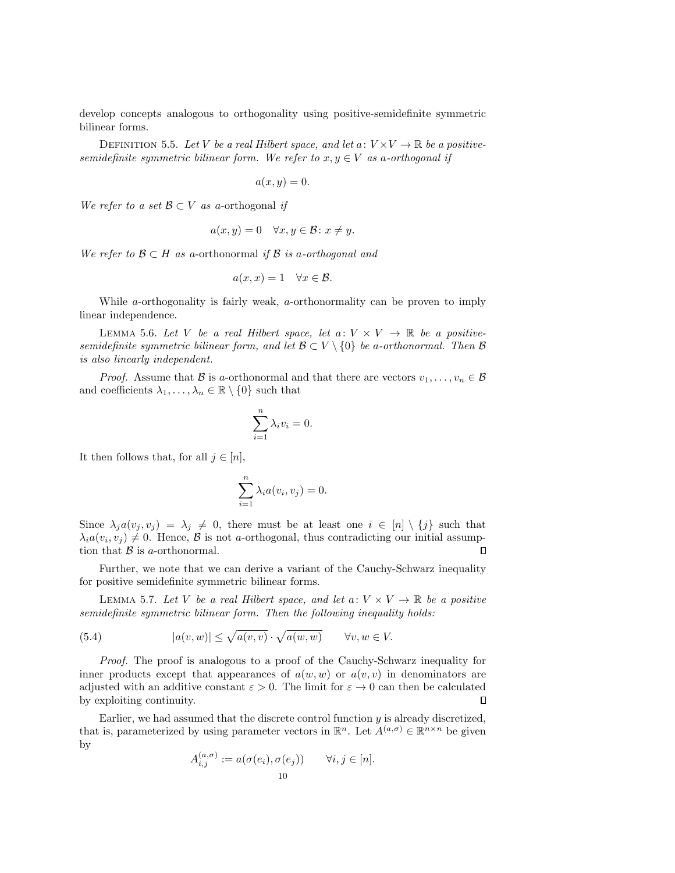develop concepts analogous to orthogonality using positive-semidefinite symmetric bilinear forms.

DEFINITION 5.5. Let V be a real Hilbert space, and let  $a: V \times V \to \mathbb{R}$  be a positivesemidefinite symmetric bilinear form. We refer to  $x, y \in V$  as a-orthogonal if

$$
a(x,y)=0.
$$

We refer to a set  $\mathcal{B} \subset V$  as a-orthogonal if

$$
a(x, y) = 0 \quad \forall x, y \in \mathcal{B} \colon x \neq y.
$$

We refer to  $\mathcal{B} \subset H$  as a-orthonormal if  $\mathcal{B}$  is a-orthogonal and

$$
a(x,x) = 1 \quad \forall x \in \mathcal{B}.
$$

While  $a$ -orthogonality is fairly weak,  $a$ -orthonormality can be proven to imply linear independence.

LEMMA 5.6. Let V be a real Hilbert space, let  $a: V \times V \rightarrow \mathbb{R}$  be a positivesemidefinite symmetric bilinear form, and let  $\mathcal{B} \subset V \setminus \{0\}$  be a-orthonormal. Then  $\mathcal{B}$ is also linearly independent.

*Proof.* Assume that B is a-orthonormal and that there are vectors  $v_1, \ldots, v_n \in \mathcal{B}$ and coefficients  $\lambda_1, \ldots, \lambda_n \in \mathbb{R} \setminus \{0\}$  such that

$$
\sum_{i=1}^{n} \lambda_i v_i = 0.
$$

It then follows that, for all  $j \in [n]$ ,

<span id="page-10-0"></span>
$$
\sum_{i=1}^{n} \lambda_i a(v_i, v_j) = 0.
$$

Since  $\lambda_j a(v_j, v_j) = \lambda_j \neq 0$ , there must be at least one  $i \in [n] \setminus \{j\}$  such that  $\lambda_i a(v_i, v_j) \neq 0$ . Hence,  $\beta$  is not a-orthogonal, thus contradicting our initial assumption that  $\beta$  is a-orthonormal.  $\Box$ 

Further, we note that we can derive a variant of the Cauchy-Schwarz inequality for positive semidefinite symmetric bilinear forms.

LEMMA 5.7. Let V be a real Hilbert space, and let  $a: V \times V \to \mathbb{R}$  be a positive semidefinite symmetric bilinear form. Then the following inequality holds:

(5.4) 
$$
|a(v, w)| \leq \sqrt{a(v, v)} \cdot \sqrt{a(w, w)} \quad \forall v, w \in V.
$$

Proof. The proof is analogous to a proof of the Cauchy-Schwarz inequality for inner products except that appearances of  $a(w, w)$  or  $a(v, v)$  in denominators are adjusted with an additive constant  $\varepsilon > 0$ . The limit for  $\varepsilon \to 0$  can then be calculated by exploiting continuity.  $\Box$ 

Earlier, we had assumed that the discrete control function  $y$  is already discretized, that is, parameterized by using parameter vectors in  $\mathbb{R}^n$ . Let  $A^{(a,\sigma)} \in \mathbb{R}^{n \times n}$  be given by

$$
A_{i,j}^{(a,\sigma)} := a(\sigma(e_i), \sigma(e_j)) \qquad \forall i, j \in [n].
$$
  
10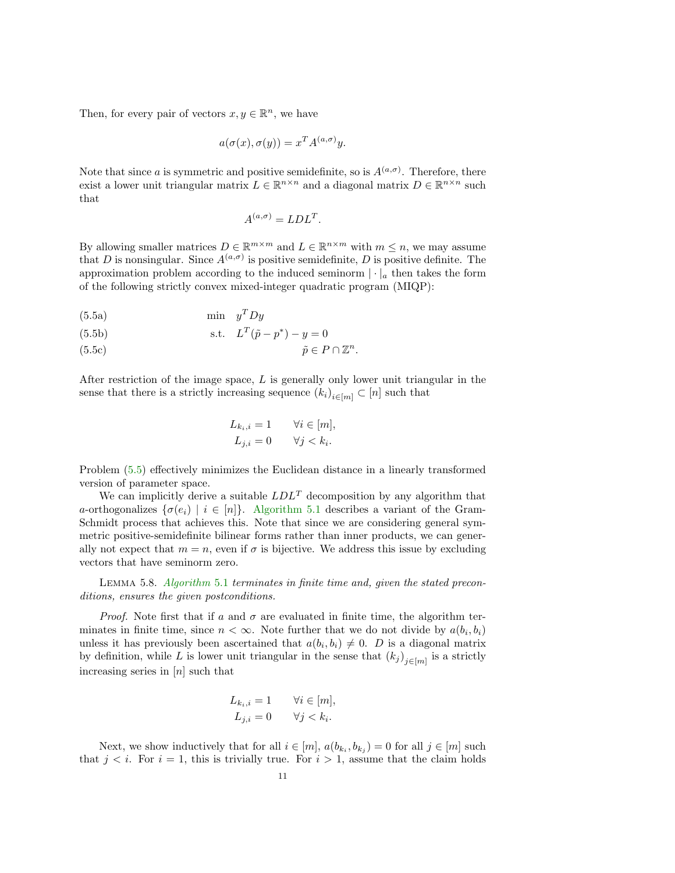Then, for every pair of vectors  $x, y \in \mathbb{R}^n$ , we have

$$
a(\sigma(x), \sigma(y)) = x^T A^{(a,\sigma)} y.
$$

Note that since a is symmetric and positive semidefinite, so is  $A^{(a,\sigma)}$ . Therefore, there exist a lower unit triangular matrix  $L \in \mathbb{R}^{n \times n}$  and a diagonal matrix  $D \in \mathbb{R}^{n \times n}$  such that

<span id="page-11-0"></span>
$$
A^{(a,\sigma)} = LDL^T.
$$

By allowing smaller matrices  $D \in \mathbb{R}^{m \times m}$  and  $L \in \mathbb{R}^{n \times m}$  with  $m \leq n$ , we may assume that D is nonsingular. Since  $A^{(a,\sigma)}$  is positive semidefinite, D is positive definite. The approximation problem according to the induced seminorm  $|\cdot|_a$  then takes the form of the following strictly convex mixed-integer quadratic program (MIQP):

$$
(5.5a) \tmin y^T D y
$$

(5.5b) s.t. 
$$
L^T(\tilde{p} - p^*) - y = 0
$$

$$
(5.5c) \t\t\t \tilde{p} \in P \cap \mathbb{Z}^n.
$$

After restriction of the image space,  $L$  is generally only lower unit triangular in the sense that there is a strictly increasing sequence  $(k_i)_{i \in [m]} \subset [n]$  such that

$$
L_{k_i, i} = 1 \qquad \forall i \in [m],
$$
  

$$
L_{j,i} = 0 \qquad \forall j < k_i.
$$

Problem [\(5.5\)](#page-11-0) effectively minimizes the Euclidean distance in a linearly transformed version of parameter space.

We can implicitly derive a suitable  $LDL<sup>T</sup>$  decomposition by any algorithm that a-orthogonalizes  $\{\sigma(e_i) \mid i \in [n]\}\$ . [Algorithm 5.1](#page-12-0) describes a variant of the Gram-Schmidt process that achieves this. Note that since we are considering general symmetric positive-semidefinite bilinear forms rather than inner products, we can generally not expect that  $m = n$ , even if  $\sigma$  is bijective. We address this issue by excluding vectors that have seminorm zero.

Lemma 5.8. [Algorithm](#page-12-0) 5.1 terminates in finite time and, given the stated preconditions, ensures the given postconditions.

*Proof.* Note first that if a and  $\sigma$  are evaluated in finite time, the algorithm terminates in finite time, since  $n < \infty$ . Note further that we do not divide by  $a(b_i, b_i)$ unless it has previously been ascertained that  $a(b_i, b_i) \neq 0$ . D is a diagonal matrix by definition, while L is lower unit triangular in the sense that  $(k_j)_{j \in [m]}$  is a strictly increasing series in  $[n]$  such that

$$
L_{k_i, i} = 1 \qquad \forall i \in [m],
$$
  

$$
L_{j,i} = 0 \qquad \forall j < k_i.
$$

Next, we show inductively that for all  $i \in [m]$ ,  $a(b_{k_i}, b_{k_j}) = 0$  for all  $j \in [m]$  such that  $j < i$ . For  $i = 1$ , this is trivially true. For  $i > 1$ , assume that the claim holds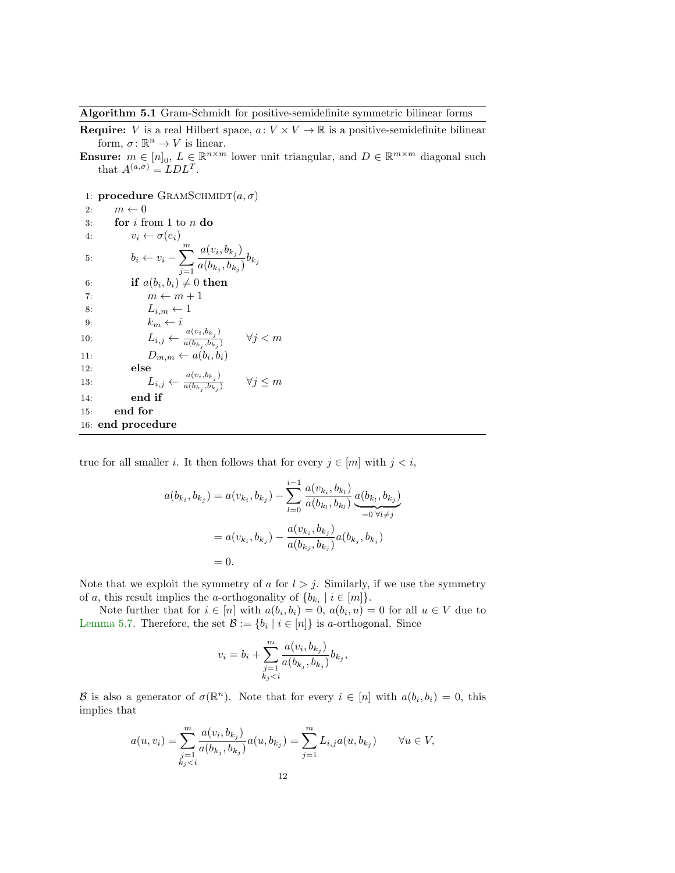<span id="page-12-0"></span>Algorithm 5.1 Gram-Schmidt for positive-semidefinite symmetric bilinear forms

- **Require:** V is a real Hilbert space,  $a: V \times V \to \mathbb{R}$  is a positive-semidefinite bilinear form,  $\sigma: \mathbb{R}^n \to V$  is linear.
- **Ensure:**  $m \in [n]_0$ ,  $L \in \mathbb{R}^{n \times m}$  lower unit triangular, and  $D \in \mathbb{R}^{m \times m}$  diagonal such that  $A^{(a,\sigma)} = LDL^T$ .
- 1: **procedure** GRAMSCHMIDT $(a, \sigma)$

2:  $m \leftarrow 0$ 3: **for**  $i$  from 1 to  $n$  do 4:  $v_i \leftarrow \sigma(e_i)$ 5:  $b_i \leftarrow v_i - \sum_{i=1}^{m}$  $j=1$  $a(v_i,b_{k_j})$  $\frac{a(c_i, c_{kj})}{a(b_{k_j}, b_{k_j})}b_{k_j}$ 6: if  $a(b_i, b_i) \neq 0$  then 7:  $m \leftarrow m + 1$ 8:  $L_{i,m} \leftarrow 1$ 9:  $k_m \leftarrow i$ 10:  $L_{i,j} \leftarrow \frac{a(v_i, b_{k_j})}{a(b_k, b_k)}$  $a(b_{k_j},b_{k_j})$  $\forall j < m$ 11:  $D_{m,m} \leftarrow a(b_i, b_i)$ 12: else 13:  $L_{i,j} \leftarrow \frac{a(v_i, b_{k,j})}{a(b_k, b_k)}$  $a(b_{k_j},b_{k_j})$  $\forall j \leq m$ 14: end if 15: end for 16: end procedure

true for all smaller *i*. It then follows that for every  $j \in [m]$  with  $j < i$ ,

$$
a(b_{k_i}, b_{k_j}) = a(v_{k_i}, b_{k_j}) - \sum_{l=0}^{i-1} \frac{a(v_{k_i}, b_{k_l})}{a(b_{k_l}, b_{k_l})} \underbrace{a(b_{k_l}, b_{k_j})}_{=0 \ \forall l \neq j}
$$
  
=  $a(v_{k_i}, b_{k_j}) - \frac{a(v_{k_i}, b_{k_j})}{a(b_{k_j}, b_{k_j})} a(b_{k_j}, b_{k_j})$   
= 0.

Note that we exploit the symmetry of a for  $l > j$ . Similarly, if we use the symmetry of a, this result implies the a-orthogonality of  $\{b_{k_i} \mid i \in [m]\}.$ 

Note further that for  $i \in [n]$  with  $a(b_i, b_i) = 0$ ,  $a(b_i, u) = 0$  for all  $u \in V$  due to [Lemma 5.7.](#page-10-0) Therefore, the set  $\mathcal{B} := \{b_i \mid i \in [n]\}$  is a-orthogonal. Since

$$
v_i = b_i + \sum_{\substack{j=1 \ k_j < i}}^m \frac{a(v_i, b_{k_j})}{a(b_{k_j}, b_{k_j})} b_{k_j},
$$

B is also a generator of  $\sigma(\mathbb{R}^n)$ . Note that for every  $i \in [n]$  with  $a(b_i, b_i) = 0$ , this implies that

$$
a(u, v_i) = \sum_{\substack{j=1\\k_j < i}}^m \frac{a(v_i, b_{k_j})}{a(b_{k_j}, b_{k_j})} a(u, b_{k_j}) = \sum_{j=1}^m L_{i,j} a(u, b_{k_j}) \qquad \forall u \in V,
$$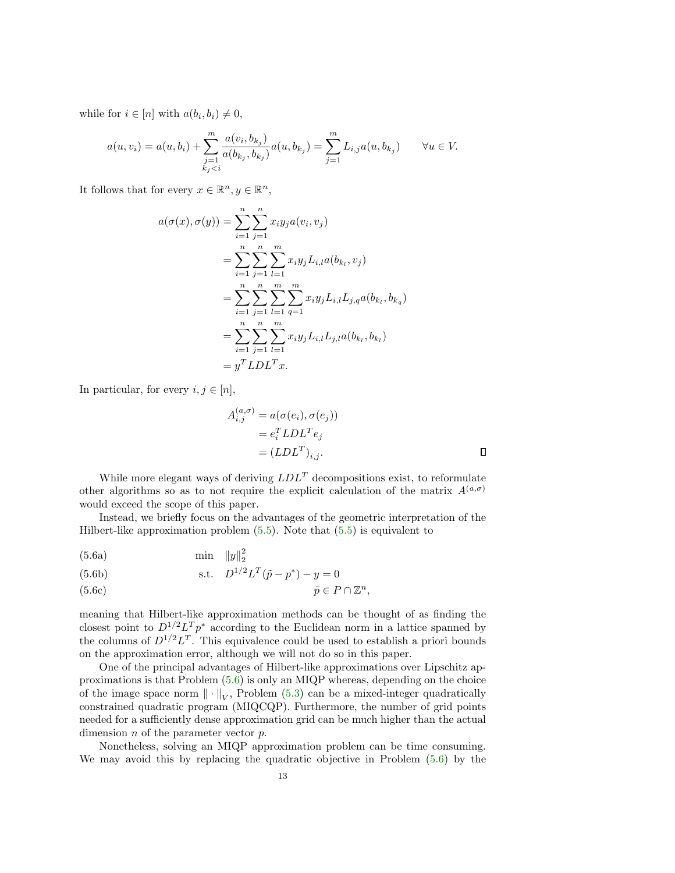while for  $i \in [n]$  with  $a(b_i, b_i) \neq 0$ ,

$$
a(u, v_i) = a(u, b_i) + \sum_{\substack{j=1 \ k_j < i}}^m \frac{a(v_i, b_{k_j})}{a(b_{k_j}, b_{k_j})} a(u, b_{k_j}) = \sum_{j=1}^m L_{i,j} a(u, b_{k_j}) \qquad \forall u \in V.
$$

It follows that for every  $x \in \mathbb{R}^n, y \in \mathbb{R}^n$ ,

$$
a(\sigma(x), \sigma(y)) = \sum_{i=1}^{n} \sum_{j=1}^{n} x_i y_j a(v_i, v_j)
$$
  
= 
$$
\sum_{i=1}^{n} \sum_{j=1}^{n} \sum_{l=1}^{m} x_i y_j L_{i,l} a(b_{k_l}, v_j)
$$
  
= 
$$
\sum_{i=1}^{n} \sum_{j=1}^{n} \sum_{l=1}^{m} \sum_{q=1}^{m} x_i y_j L_{i,l} L_{j,q} a(b_{k_l}, b_{k_q})
$$
  
= 
$$
\sum_{i=1}^{n} \sum_{j=1}^{n} \sum_{l=1}^{m} x_i y_j L_{i,l} L_{j,l} a(b_{k_l}, b_{k_l})
$$
  
= 
$$
y^T L D L^T x.
$$

In particular, for every  $i, j \in [n]$ ,

<span id="page-13-0"></span>
$$
A_{i,j}^{(a,\sigma)} = a(\sigma(e_i), \sigma(e_j))
$$
  
=  $e_i^T L D L^T e_j$   
=  $(L D L^T)_{i,j}$ .

While more elegant ways of deriving  $LDL<sup>T</sup>$  decompositions exist, to reformulate other algorithms so as to not require the explicit calculation of the matrix  $A^{(a,\sigma)}$ would exceed the scope of this paper.

Instead, we briefly focus on the advantages of the geometric interpretation of the Hilbert-like approximation problem  $(5.5)$ . Note that  $(5.5)$  is equivalent to

$$
(5.6a) \tmin \|y\|_2^2
$$

(5.6b) s.t. 
$$
D^{1/2}L^{T}(\tilde{p} - p^{*}) - y = 0
$$

$$
(5.6c) \t\t\t \tilde{p} \in P \cap \mathbb{Z}^n,
$$

meaning that Hilbert-like approximation methods can be thought of as finding the closest point to  $D^{1/2}L^T p^*$  according to the Euclidean norm in a lattice spanned by the columns of  $D^{1/2}L^T$ . This equivalence could be used to establish a priori bounds on the approximation error, although we will not do so in this paper.

One of the principal advantages of Hilbert-like approximations over Lipschitz approximations is that Problem [\(5.6\)](#page-13-0) is only an MIQP whereas, depending on the choice of the image space norm  $\|\cdot\|_V$ , Problem [\(5.3\)](#page-8-0) can be a mixed-integer quadratically constrained quadratic program (MIQCQP). Furthermore, the number of grid points needed for a sufficiently dense approximation grid can be much higher than the actual dimension  $n$  of the parameter vector  $p$ .

Nonetheless, solving an MIQP approximation problem can be time consuming. We may avoid this by replacing the quadratic objective in Problem [\(5.6\)](#page-13-0) by the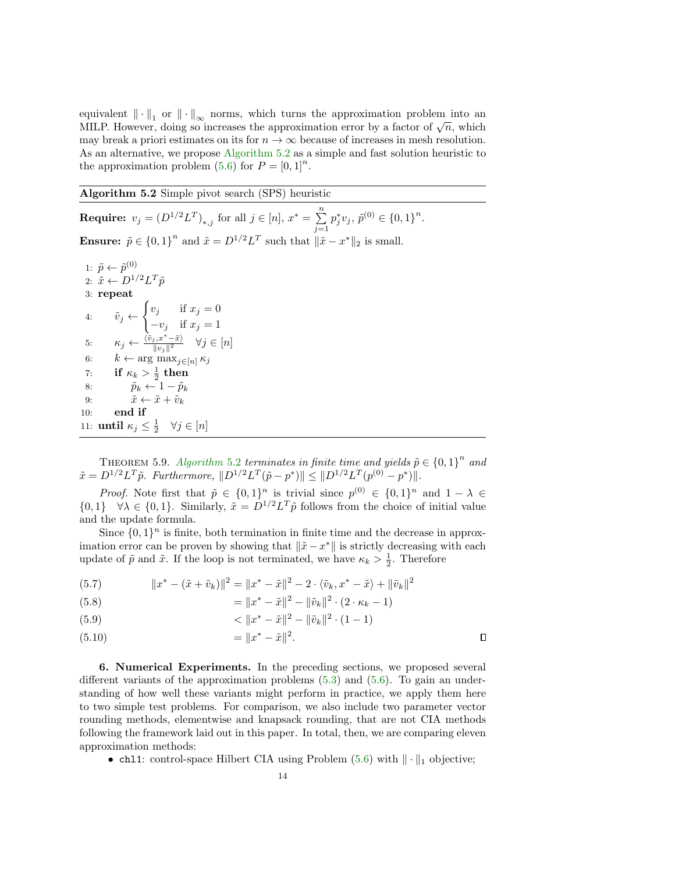equivalent  $\|\cdot\|_1$  or  $\|\cdot\|_{\infty}$  norms, which turns the approximation problem into an equivalent  $|| \cdot ||_1$  or  $|| \cdot ||_{\infty}$  norms, which turns the approximation problem into an MILP. However, doing so increases the approximation error by a factor of  $\sqrt{n}$ , which may break a priori estimates on its for  $n \to \infty$  because of increases in mesh resolution. As an alternative, we propose [Algorithm 5.2](#page-14-0) as a simple and fast solution heuristic to the approximation problem  $(5.6)$  for  $P = [0, 1]^n$ .

<span id="page-14-0"></span>Algorithm 5.2 Simple pivot search (SPS) heuristic

**Require:**  $v_j = (D^{1/2}L^T)_{*,j}$  for all  $j \in [n], x^* = \sum_{j=1}^n$  $j=1$  $p_j^* v_j, \, \tilde{p}^{(0)} \in \{0,1\}^n.$ **Ensure:**  $\tilde{p} \in \{0,1\}^n$  and  $\tilde{x} = D^{1/2}L^T$  such that  $\|\tilde{x} - x^*\|_2$  is small. 1:  $\tilde{p} \leftarrow \tilde{p}^{(0)}$ 2:  $\tilde{x} \leftarrow D^{1/2} L^T \tilde{p}$ 3: repeat 4:  $\tilde{v}_j \leftarrow$  $\int v_j$  if  $x_j = 0$  $-v_j$  if  $x_j = 1$ 5:  $\kappa_j \leftarrow \frac{\langle \tilde{v}_j, x^*-\tilde{x}\rangle}{\|v\|\|^2}$  $\frac{\partial j}{\|v_j\|^2}$   $\forall j \in [n]$ 6:  $k \leftarrow \arg \max_{j \in [n]} \kappa_j$ 7: if  $\kappa_k > \frac{1}{2}$  then 8:  $\tilde{p}_k \leftarrow 1 - \tilde{p}_k$ 9:  $\tilde{x} \leftarrow \tilde{x} + \tilde{v}_k$ 10: end if 11: **until**  $\kappa_j \leq \frac{1}{2} \quad \forall j \in [n]$ 

THEOREM 5.9. [Algorithm](#page-14-0) 5.2 terminates in finite time and yields  $\tilde{p} \in \{0,1\}^n$  and  $\tilde{x} = D^{1/2} L^T \tilde{p}$ . Furthermore,  $||D^{1/2} L^T (\tilde{p} - p^*)|| \le ||D^{1/2} L^T (p^{(0)} - p^*)||$ .

*Proof.* Note first that  $\tilde{p} \in \{0,1\}^n$  is trivial since  $p^{(0)} \in \{0,1\}^n$  and  $1 - \lambda \in$  $\{0,1\}$   $\forall \lambda \in \{0,1\}$ . Similarly,  $\tilde{x} = D^{1/2} L^T \tilde{p}$  follows from the choice of initial value and the update formula.

Since  $\{0,1\}^n$  is finite, both termination in finite time and the decrease in approximation error can be proven by showing that  $\|\tilde{x} - x^*\|$  is strictly decreasing with each update of  $\tilde{p}$  and  $\tilde{x}$ . If the loop is not terminated, we have  $\kappa_k > \frac{1}{2}$ . Therefore

(5.7) 
$$
||x^* - (\tilde{x} + \tilde{v}_k)||^2 = ||x^* - \tilde{x}||^2 - 2 \cdot \langle \tilde{v}_k, x^* - \tilde{x} \rangle + ||\tilde{v}_k||^2
$$

(5.8) 
$$
= \|x^* - \tilde{x}\|^2 - \|\tilde{v}_k\|^2 \cdot (2 \cdot \kappa_k - 1)
$$

(5.9) 
$$
\langle \|x^* - \tilde{x}\|^2 - \|\tilde{v}_k\|^2 \cdot (1 - 1)
$$

= kx <sup>∗</sup> − x˜k 2 (5.10) .

6. Numerical Experiments. In the preceding sections, we proposed several different variants of the approximation problems  $(5.3)$  and  $(5.6)$ . To gain an understanding of how well these variants might perform in practice, we apply them here to two simple test problems. For comparison, we also include two parameter vector rounding methods, elementwise and knapsack rounding, that are not CIA methods following the framework laid out in this paper. In total, then, we are comparing eleven approximation methods:

 $\Box$ 

• chl1: control-space Hilbert CIA using Problem  $(5.6)$  with  $\|\cdot\|_1$  objective;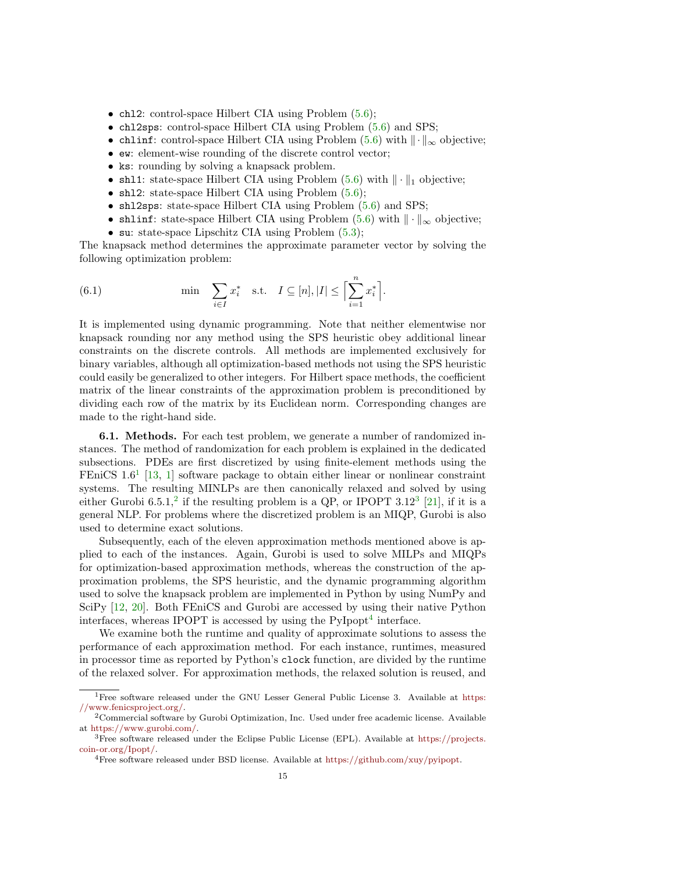- chl2: control-space Hilbert CIA using Problem  $(5.6)$ ;
- chl2sps: control-space Hilbert CIA using Problem  $(5.6)$  and SPS;
- chlinf: control-space Hilbert CIA using Problem [\(5.6\)](#page-13-0) with  $\|\cdot\|_{\infty}$  objective;
- ew: element-wise rounding of the discrete control vector;
- ks: rounding by solving a knapsack problem.
- shl1: state-space Hilbert CIA using Problem  $(5.6)$  with  $\|\cdot\|_1$  objective;
- sh12: state-space Hilbert CIA using Problem  $(5.6)$ ;
- shl2sps: state-space Hilbert CIA using Problem [\(5.6\)](#page-13-0) and SPS;
- shlinf: state-space Hilbert CIA using Problem  $(5.6)$  with  $\|\cdot\|_{\infty}$  objective;
- su: state-space Lipschitz CIA using Problem  $(5.3)$ ;

The knapsack method determines the approximate parameter vector by solving the following optimization problem:

(6.1) 
$$
\min \quad \sum_{i \in I} x_i^* \quad \text{s.t.} \quad I \subseteq [n], |I| \le \Bigl[\sum_{i=1}^n x_i^* \Bigr].
$$

It is implemented using dynamic programming. Note that neither elementwise nor knapsack rounding nor any method using the SPS heuristic obey additional linear constraints on the discrete controls. All methods are implemented exclusively for binary variables, although all optimization-based methods not using the SPS heuristic could easily be generalized to other integers. For Hilbert space methods, the coefficient matrix of the linear constraints of the approximation problem is preconditioned by dividing each row of the matrix by its Euclidean norm. Corresponding changes are made to the right-hand side.

6.1. Methods. For each test problem, we generate a number of randomized instances. The method of randomization for each problem is explained in the dedicated subsections. PDEs are first discretized by using finite-element methods using the FEniCS  $1.6<sup>1</sup>$  $1.6<sup>1</sup>$  [\[13,](#page-27-4) [1\]](#page-26-9) software package to obtain either linear or nonlinear constraint systems. The resulting MINLPs are then canonically relaxed and solved by using either Gurobi 6.5.1,<sup>[2](#page-15-1)</sup> if the resulting problem is a QP, or IPOPT [3](#page-15-2).12<sup>3</sup> [\[21\]](#page-27-5), if it is a general NLP. For problems where the discretized problem is an MIQP, Gurobi is also used to determine exact solutions.

Subsequently, each of the eleven approximation methods mentioned above is applied to each of the instances. Again, Gurobi is used to solve MILPs and MIQPs for optimization-based approximation methods, whereas the construction of the approximation problems, the SPS heuristic, and the dynamic programming algorithm used to solve the knapsack problem are implemented in Python by using NumPy and SciPy [\[12,](#page-26-10) [20\]](#page-27-6). Both FEniCS and Gurobi are accessed by using their native Python interfaces, whereas IPOPT is accessed by using the  $PyIport<sup>4</sup>$  $PyIport<sup>4</sup>$  $PyIport<sup>4</sup>$  interface.

We examine both the runtime and quality of approximate solutions to assess the performance of each approximation method. For each instance, runtimes, measured in processor time as reported by Python's clock function, are divided by the runtime of the relaxed solver. For approximation methods, the relaxed solution is reused, and

<span id="page-15-0"></span><sup>&</sup>lt;sup>1</sup>Free software released under the GNU Lesser General Public License 3. Available at [https:](https://www.fenicsproject.org/) [//www.fenicsproject.org/.](https://www.fenicsproject.org/)

<span id="page-15-1"></span><sup>&</sup>lt;sup>2</sup> Commercial software by Gurobi Optimization, Inc. Used under free academic license. Available at [https://www.gurobi.com/.](https://www.gurobi.com/)

<span id="page-15-2"></span><sup>3</sup>Free software released under the Eclipse Public License (EPL). Available at [https://projects.](https://projects.coin-or.org/Ipopt/) [coin-or.org/Ipopt/.](https://projects.coin-or.org/Ipopt/)

<span id="page-15-3"></span><sup>4</sup>Free software released under BSD license. Available at [https://github.com/xuy/pyipopt.](https://github.com/xuy/pyipopt)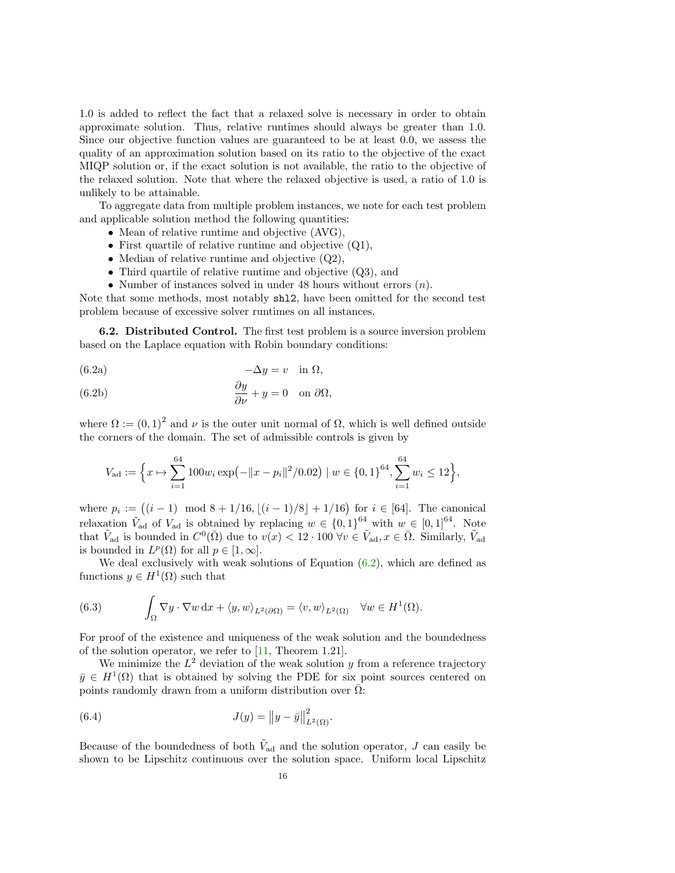1.0 is added to reflect the fact that a relaxed solve is necessary in order to obtain approximate solution. Thus, relative runtimes should always be greater than 1.0. Since our objective function values are guaranteed to be at least 0.0, we assess the quality of an approximation solution based on its ratio to the objective of the exact MIQP solution or, if the exact solution is not available, the ratio to the objective of the relaxed solution. Note that where the relaxed objective is used, a ratio of 1.0 is unlikely to be attainable.

To aggregate data from multiple problem instances, we note for each test problem and applicable solution method the following quantities:

- Mean of relative runtime and objective  $(AVG)$ ,
- First quartile of relative runtime and objective  $(Q1)$ ,
- Median of relative runtime and objective  $(Q2)$ ,
- Third quartile of relative runtime and objective (Q3), and
- <span id="page-16-0"></span>• Number of instances solved in under 48 hours without errors  $(n)$ .

Note that some methods, most notably shl2, have been omitted for the second test problem because of excessive solver runtimes on all instances.

6.2. Distributed Control. The first test problem is a source inversion problem based on the Laplace equation with Robin boundary conditions:

$$
(6.2a) \t -\Delta y = v \t \text{in } \Omega,
$$

(6.2b) 
$$
\frac{\partial y}{\partial \nu} + y = 0 \text{ on } \partial \Omega,
$$

where  $\Omega := (0,1)^2$  and  $\nu$  is the outer unit normal of  $\Omega$ , which is well defined outside the corners of the domain. The set of admissible controls is given by

$$
V_{\text{ad}} := \left\{ x \mapsto \sum_{i=1}^{64} 100w_i \exp\left(-\|x - p_i\|^2 / 0.02\right) \mid w \in \{0, 1\}^{64}, \sum_{i=1}^{64} w_i \le 12 \right\},\
$$

where  $p_i := ((i-1) \mod 8 + 1/16, \lfloor (i-1)/8 \rfloor + 1/16)$  for  $i \in [64]$ . The canonical relaxation  $\tilde{V}_{ad}$  of  $V_{ad}$  is obtained by replacing  $w \in \{0,1\}^{64}$  with  $w \in [0,1]^{64}$ . Note that  $\tilde{V}_{ad}$  is bounded in  $C^0(\bar{\Omega})$  due to  $v(x) < 12 \cdot 100 \,\forall v \in \tilde{V}_{ad}, x \in \bar{\Omega}$ . Similarly,  $\tilde{V}_{ad}$ is bounded in  $L^p(\Omega)$  for all  $p \in [1,\infty]$ .

We deal exclusively with weak solutions of Equation  $(6.2)$ , which are defined as functions  $y \in H^1(\Omega)$  such that

(6.3) 
$$
\int_{\Omega} \nabla y \cdot \nabla w \,dx + \langle y, w \rangle_{L^2(\partial \Omega)} = \langle v, w \rangle_{L^2(\Omega)} \quad \forall w \in H^1(\Omega).
$$

For proof of the existence and uniqueness of the weak solution and the boundedness of the solution operator, we refer to [\[11,](#page-26-6) Theorem 1.21].

We minimize the  $L^2$  deviation of the weak solution y from a reference trajectory  $\bar{y} \in H^1(\Omega)$  that is obtained by solving the PDE for six point sources centered on points randomly drawn from a uniform distribution over  $\overline{\Omega}$ :

(6.4) 
$$
J(y) = ||y - \bar{y}||_{L^{2}(\Omega)}^{2}.
$$

Because of the boundedness of both  $\tilde{V}_{ad}$  and the solution operator, J can easily be shown to be Lipschitz continuous over the solution space. Uniform local Lipschitz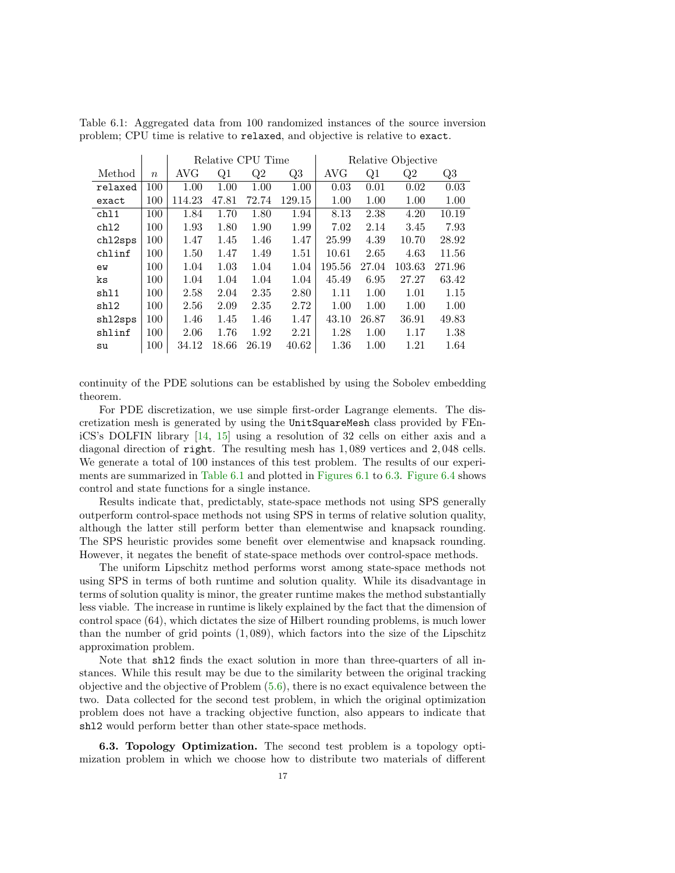|         |                  | Relative CPU Time |       |       |        | Relative Objective |       |        |        |  |
|---------|------------------|-------------------|-------|-------|--------|--------------------|-------|--------|--------|--|
| Method  | $\boldsymbol{n}$ | AVG               | Q1    | Q2    | Q3     | AVG                | Q1    | Q2     | Q3     |  |
| relaxed | 100              | 1.00              | 1.00  | 1.00  | 1.00   | 0.03               | 0.01  | 0.02   | 0.03   |  |
| exact   | 100              | 114.23            | 47.81 | 72.74 | 129.15 | 1.00               | 1.00  | 1.00   | 1.00   |  |
| ch11    | 100              | 1.84              | 1.70  | 1.80  | 1.94   | 8.13               | 2.38  | 4.20   | 10.19  |  |
| ch12    | 100              | 1.93              | 1.80  | 1.90  | 1.99   | 7.02               | 2.14  | 3.45   | 7.93   |  |
| ch12sps | 100              | 1.47              | 1.45  | 1.46  | 1.47   | 25.99              | 4.39  | 10.70  | 28.92  |  |
| chlinf  | 100              | 1.50              | 1.47  | 1.49  | 1.51   | 10.61              | 2.65  | 4.63   | 11.56  |  |
| ew      | 100              | 1.04              | 1.03  | 1.04  | 1.04   | 195.56             | 27.04 | 103.63 | 271.96 |  |
| ks      | 100              | 1.04              | 1.04  | 1.04  | 1.04   | 45.49              | 6.95  | 27.27  | 63.42  |  |
| sh11    | 100              | 2.58              | 2.04  | 2.35  | 2.80   | 1.11               | 1.00  | 1.01   | 1.15   |  |
| sh12    | 100              | 2.56              | 2.09  | 2.35  | 2.72   | 1.00               | 1.00  | 1.00   | 1.00   |  |
| sh12sps | 100              | 1.46              | 1.45  | 1.46  | 1.47   | 43.10              | 26.87 | 36.91  | 49.83  |  |
| shlinf  | 100              | 2.06              | 1.76  | 1.92  | 2.21   | 1.28               | 1.00  | 1.17   | 1.38   |  |
| su      | 100              | 34.12             | 18.66 | 26.19 | 40.62  | 1.36               | 1.00  | 1.21   | 1.64   |  |

<span id="page-17-0"></span>Table 6.1: Aggregated data from 100 randomized instances of the source inversion problem; CPU time is relative to relaxed, and objective is relative to exact.

continuity of the PDE solutions can be established by using the Sobolev embedding theorem.

For PDE discretization, we use simple first-order Lagrange elements. The discretization mesh is generated by using the UnitSquareMesh class provided by FEniCS's DOLFIN library [\[14,](#page-27-7) [15\]](#page-27-8) using a resolution of 32 cells on either axis and a diagonal direction of right. The resulting mesh has 1, 089 vertices and 2, 048 cells. We generate a total of 100 instances of this test problem. The results of our experiments are summarized in [Table 6.1](#page-17-0) and plotted in [Figures 6.1](#page-18-0) to [6.3.](#page-18-0) [Figure 6.4](#page-19-0) shows control and state functions for a single instance.

Results indicate that, predictably, state-space methods not using SPS generally outperform control-space methods not using SPS in terms of relative solution quality, although the latter still perform better than elementwise and knapsack rounding. The SPS heuristic provides some benefit over elementwise and knapsack rounding. However, it negates the benefit of state-space methods over control-space methods.

The uniform Lipschitz method performs worst among state-space methods not using SPS in terms of both runtime and solution quality. While its disadvantage in terms of solution quality is minor, the greater runtime makes the method substantially less viable. The increase in runtime is likely explained by the fact that the dimension of control space (64), which dictates the size of Hilbert rounding problems, is much lower than the number of grid points  $(1,089)$ , which factors into the size of the Lipschitz approximation problem.

Note that shl2 finds the exact solution in more than three-quarters of all instances. While this result may be due to the similarity between the original tracking objective and the objective of Problem [\(5.6\)](#page-13-0), there is no exact equivalence between the two. Data collected for the second test problem, in which the original optimization problem does not have a tracking objective function, also appears to indicate that shl2 would perform better than other state-space methods.

6.3. Topology Optimization. The second test problem is a topology optimization problem in which we choose how to distribute two materials of different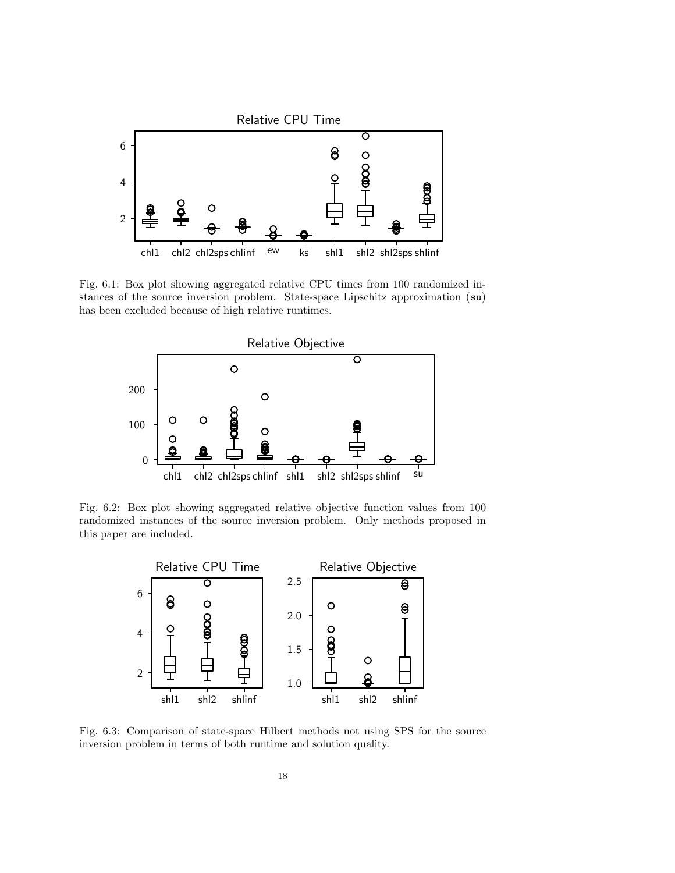<span id="page-18-0"></span>

Fig. 6.1: Box plot showing aggregated relative CPU times from 100 randomized instances of the source inversion problem. State-space Lipschitz approximation (su) has been excluded because of high relative runtimes.



Fig. 6.2: Box plot showing aggregated relative objective function values from 100 randomized instances of the source inversion problem. Only methods proposed in this paper are included.



Fig. 6.3: Comparison of state-space Hilbert methods not using SPS for the source inversion problem in terms of both runtime and solution quality.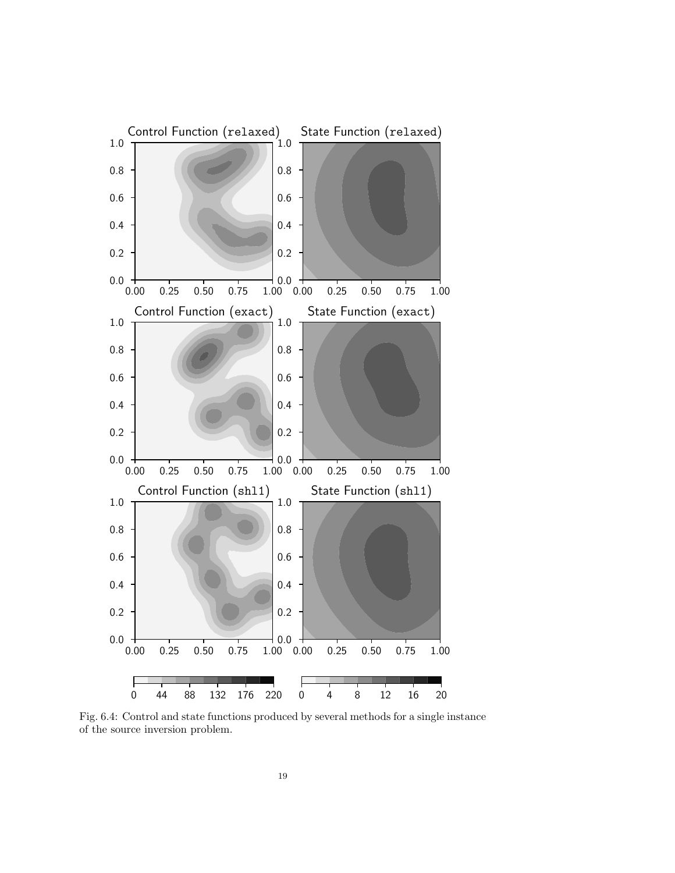<span id="page-19-0"></span>

Fig. 6.4: Control and state functions produced by several methods for a single instance of the source inversion problem.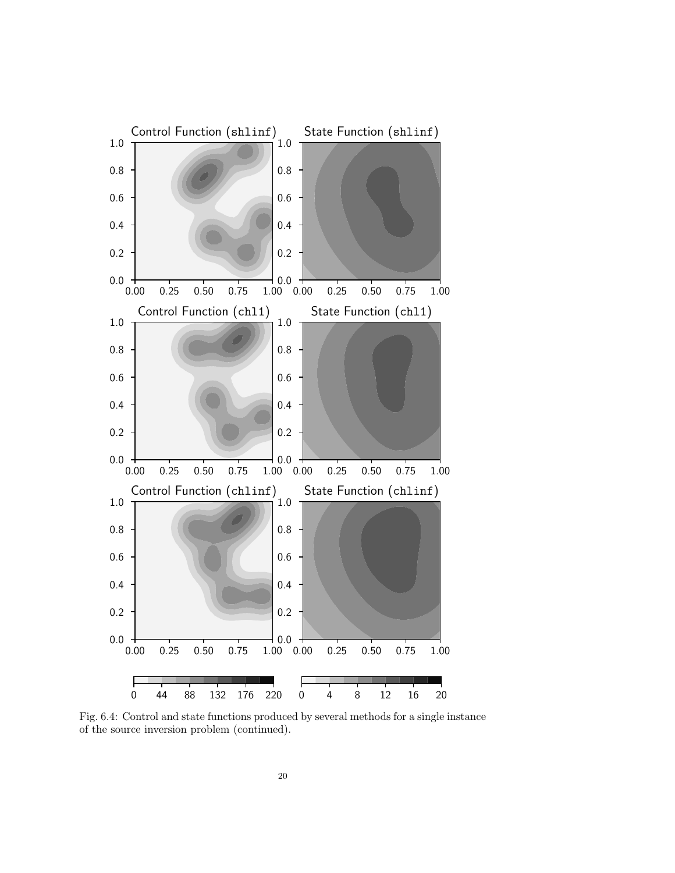

Fig. 6.4: Control and state functions produced by several methods for a single instance of the source inversion problem (continued).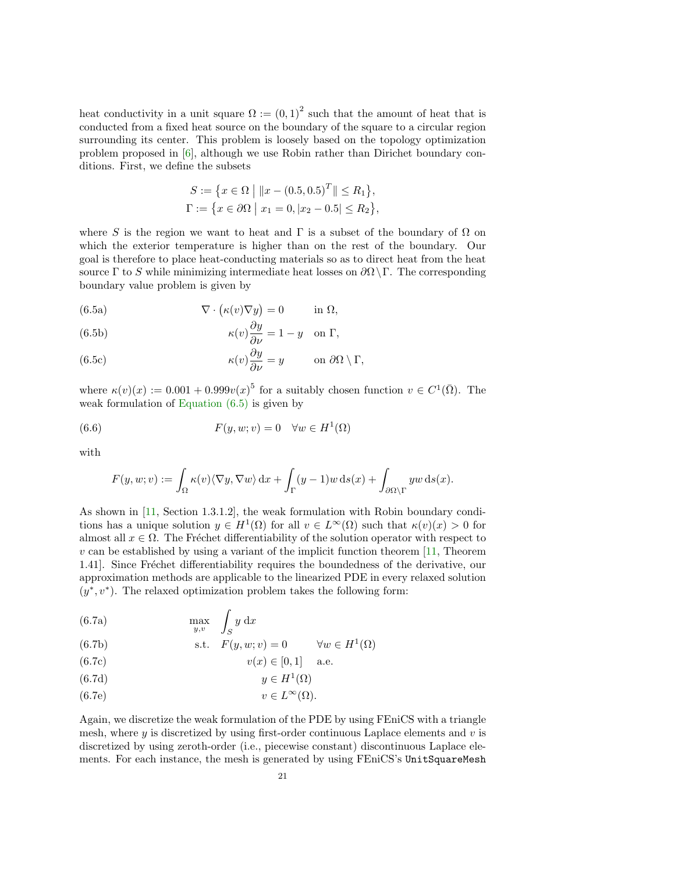heat conductivity in a unit square  $\Omega := (0,1)^2$  such that the amount of heat that is conducted from a fixed heat source on the boundary of the square to a circular region surrounding its center. This problem is loosely based on the topology optimization problem proposed in [\[6\]](#page-26-11), although we use Robin rather than Dirichet boundary conditions. First, we define the subsets

<span id="page-21-0"></span>
$$
S := \{x \in \Omega \mid ||x - (0.5, 0.5)^T|| \le R_1\},\
$$
  

$$
\Gamma := \{x \in \partial\Omega \mid x_1 = 0, |x_2 - 0.5| \le R_2\},\
$$

where S is the region we want to heat and  $\Gamma$  is a subset of the boundary of  $\Omega$  on which the exterior temperature is higher than on the rest of the boundary. Our goal is therefore to place heat-conducting materials so as to direct heat from the heat source  $\Gamma$  to S while minimizing intermediate heat losses on  $\partial \Omega \backslash \Gamma$ . The corresponding boundary value problem is given by

(6.5a) 
$$
\nabla \cdot (\kappa(v)\nabla y) = 0 \quad \text{in } \Omega,
$$

(6.5b) 
$$
\kappa(v)\frac{\partial y}{\partial \nu} = 1 - y \quad \text{on } \Gamma,
$$

(6.5c) 
$$
\kappa(v)\frac{\partial y}{\partial \nu} = y \quad \text{on } \partial\Omega \setminus \Gamma,
$$

where  $\kappa(v)(x) := 0.001 + 0.999v(x)^5$  for a suitably chosen function  $v \in C^1(\overline{\Omega})$ . The weak formulation of [Equation \(6.5\)](#page-21-0) is given by

(6.6) 
$$
F(y, w; v) = 0 \quad \forall w \in H^{1}(\Omega)
$$

with

$$
F(y, w; v) := \int_{\Omega} \kappa(v) \langle \nabla y, \nabla w \rangle \,dx + \int_{\Gamma} (y - 1) w \,ds(x) + \int_{\partial \Omega \setminus \Gamma} y w \,ds(x).
$$

As shown in [\[11,](#page-26-6) Section 1.3.1.2], the weak formulation with Robin boundary conditions has a unique solution  $y \in H^1(\Omega)$  for all  $v \in L^{\infty}(\Omega)$  such that  $\kappa(v)(x) > 0$  for almost all  $x \in \Omega$ . The Fréchet differentiability of the solution operator with respect to  $v$  can be established by using a variant of the implicit function theorem  $[11,$  Theorem 1.41. Since Fréchet differentiability requires the boundedness of the derivative, our approximation methods are applicable to the linearized PDE in every relaxed solution  $(y^*, v^*)$ . The relaxed optimization problem takes the following form:

(6.7a) 
$$
\max_{y,v} \quad \int_{S} y \, dx
$$

(6.7b) s.t. 
$$
F(y, w; v) = 0
$$
  $\forall w \in H^1(\Omega)$ 

(6.7c) 
$$
v(x) \in [0, 1]
$$
 a.e.

$$
(6.7d) \t\t y \in H^1(\Omega)
$$

(6.7e) 
$$
v \in L^{\infty}(\Omega).
$$

Again, we discretize the weak formulation of the PDE by using FEniCS with a triangle mesh, where  $y$  is discretized by using first-order continuous Laplace elements and  $v$  is discretized by using zeroth-order (i.e., piecewise constant) discontinuous Laplace elements. For each instance, the mesh is generated by using FEniCS's UnitSquareMesh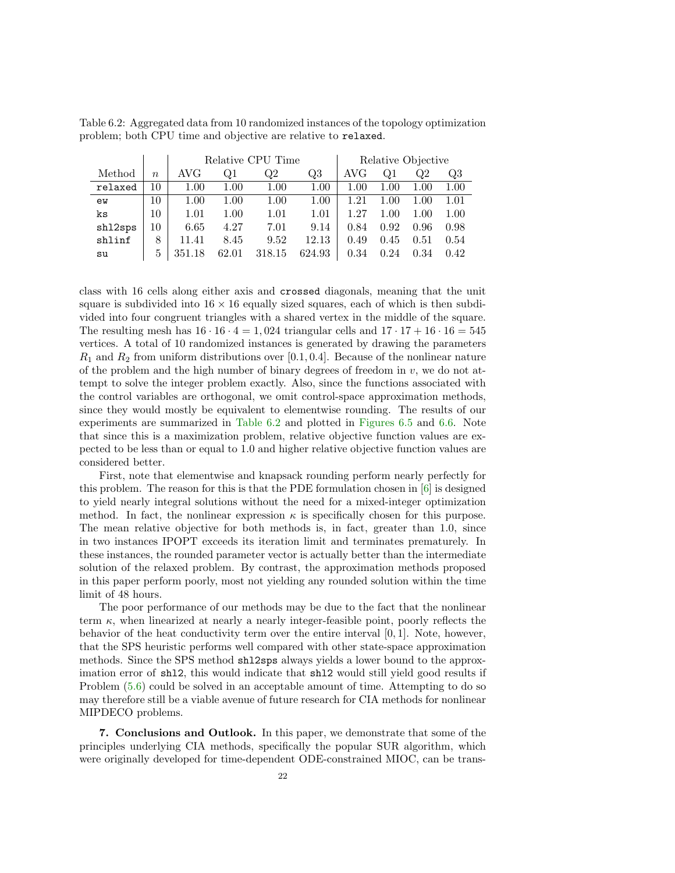|         |        | Relative CPU Time |          |        |        | Relative Objective |          |      |          |
|---------|--------|-------------------|----------|--------|--------|--------------------|----------|------|----------|
| Method  | $\eta$ | AVG               | Q1       | Q2     | Q3     | AVG                | O1       | Q2   | Q3       |
| relaxed | 10     | 1.00              | $1.00\,$ | 1.00   | 1.00   | 1.00               | $1.00\,$ | 1.00 | 1.00     |
| ew      | 10     | 1.00              | $1.00\,$ | 1.00   | 1.00   | 1.21               | $1.00\,$ | 1.00 | $1.01\,$ |
| ks      | 10     | 1.01              | $1.00\,$ | 1.01   | 1.01   | 1.27               | $1.00\,$ | 1.00 | 1.00     |
| sh12sps | 10     | 6.65              | 4.27     | 7.01   | 9.14   | 0.84               | 0.92     | 0.96 | 0.98     |
| shlinf  | 8      | 11.41             | 8.45     | 9.52   | 12.13  | 0.49               | 0.45     | 0.51 | 0.54     |
| su      | 5      | 351.18            | 62.01    | 318.15 | 624.93 | 0.34               | 0.24     | 0.34 | 0.42     |

<span id="page-22-0"></span>Table 6.2: Aggregated data from 10 randomized instances of the topology optimization problem; both CPU time and objective are relative to relaxed.

class with 16 cells along either axis and crossed diagonals, meaning that the unit square is subdivided into  $16 \times 16$  equally sized squares, each of which is then subdivided into four congruent triangles with a shared vertex in the middle of the square. The resulting mesh has  $16 \cdot 16 \cdot 4 = 1,024$  triangular cells and  $17 \cdot 17 + 16 \cdot 16 = 545$ vertices. A total of 10 randomized instances is generated by drawing the parameters  $R_1$  and  $R_2$  from uniform distributions over [0.1, 0.4]. Because of the nonlinear nature of the problem and the high number of binary degrees of freedom in  $v$ , we do not attempt to solve the integer problem exactly. Also, since the functions associated with the control variables are orthogonal, we omit control-space approximation methods, since they would mostly be equivalent to elementwise rounding. The results of our experiments are summarized in [Table 6.2](#page-22-0) and plotted in [Figures 6.5](#page-23-0) and [6.6.](#page-23-0) Note that since this is a maximization problem, relative objective function values are expected to be less than or equal to 1.0 and higher relative objective function values are considered better.

First, note that elementwise and knapsack rounding perform nearly perfectly for this problem. The reason for this is that the PDE formulation chosen in [\[6\]](#page-26-11) is designed to yield nearly integral solutions without the need for a mixed-integer optimization method. In fact, the nonlinear expression  $\kappa$  is specifically chosen for this purpose. The mean relative objective for both methods is, in fact, greater than 1.0, since in two instances IPOPT exceeds its iteration limit and terminates prematurely. In these instances, the rounded parameter vector is actually better than the intermediate solution of the relaxed problem. By contrast, the approximation methods proposed in this paper perform poorly, most not yielding any rounded solution within the time limit of 48 hours.

The poor performance of our methods may be due to the fact that the nonlinear term  $\kappa$ , when linearized at nearly a nearly integer-feasible point, poorly reflects the behavior of the heat conductivity term over the entire interval  $[0, 1]$ . Note, however, that the SPS heuristic performs well compared with other state-space approximation methods. Since the SPS method shl2sps always yields a lower bound to the approximation error of shl2, this would indicate that shl2 would still yield good results if Problem  $(5.6)$  could be solved in an acceptable amount of time. Attempting to do so may therefore still be a viable avenue of future research for CIA methods for nonlinear MIPDECO problems.

7. Conclusions and Outlook. In this paper, we demonstrate that some of the principles underlying CIA methods, specifically the popular SUR algorithm, which were originally developed for time-dependent ODE-constrained MIOC, can be trans-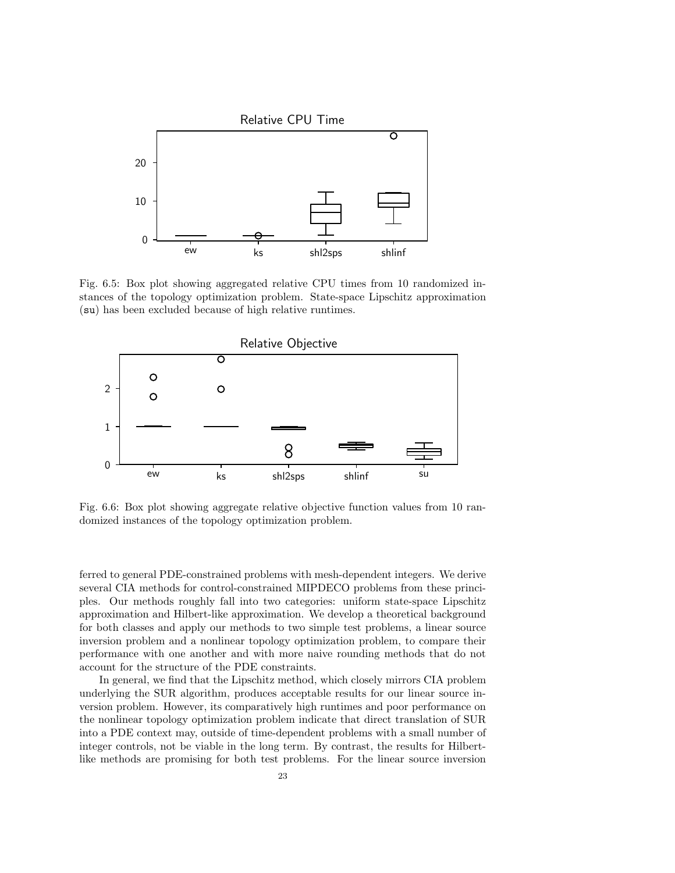<span id="page-23-0"></span>

Fig. 6.5: Box plot showing aggregated relative CPU times from 10 randomized instances of the topology optimization problem. State-space Lipschitz approximation (su) has been excluded because of high relative runtimes.



Fig. 6.6: Box plot showing aggregate relative objective function values from 10 randomized instances of the topology optimization problem.

ferred to general PDE-constrained problems with mesh-dependent integers. We derive several CIA methods for control-constrained MIPDECO problems from these principles. Our methods roughly fall into two categories: uniform state-space Lipschitz approximation and Hilbert-like approximation. We develop a theoretical background for both classes and apply our methods to two simple test problems, a linear source inversion problem and a nonlinear topology optimization problem, to compare their performance with one another and with more naive rounding methods that do not account for the structure of the PDE constraints.

In general, we find that the Lipschitz method, which closely mirrors CIA problem underlying the SUR algorithm, produces acceptable results for our linear source inversion problem. However, its comparatively high runtimes and poor performance on the nonlinear topology optimization problem indicate that direct translation of SUR into a PDE context may, outside of time-dependent problems with a small number of integer controls, not be viable in the long term. By contrast, the results for Hilbertlike methods are promising for both test problems. For the linear source inversion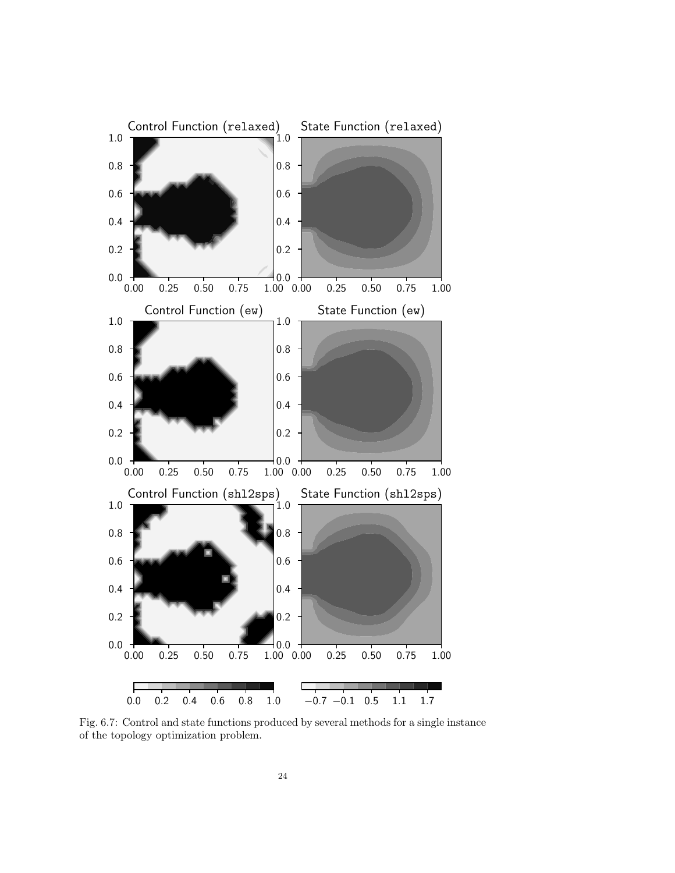

Fig. 6.7: Control and state functions produced by several methods for a single instance of the topology optimization problem.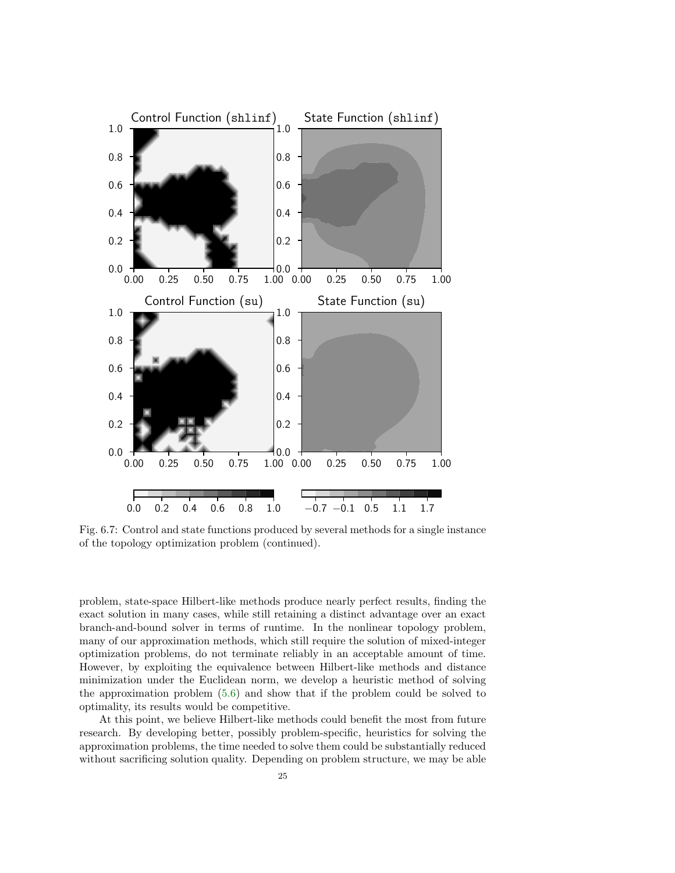

Fig. 6.7: Control and state functions produced by several methods for a single instance of the topology optimization problem (continued).

problem, state-space Hilbert-like methods produce nearly perfect results, finding the exact solution in many cases, while still retaining a distinct advantage over an exact branch-and-bound solver in terms of runtime. In the nonlinear topology problem, many of our approximation methods, which still require the solution of mixed-integer optimization problems, do not terminate reliably in an acceptable amount of time. However, by exploiting the equivalence between Hilbert-like methods and distance minimization under the Euclidean norm, we develop a heuristic method of solving the approximation problem [\(5.6\)](#page-13-0) and show that if the problem could be solved to optimality, its results would be competitive.

At this point, we believe Hilbert-like methods could benefit the most from future research. By developing better, possibly problem-specific, heuristics for solving the approximation problems, the time needed to solve them could be substantially reduced without sacrificing solution quality. Depending on problem structure, we may be able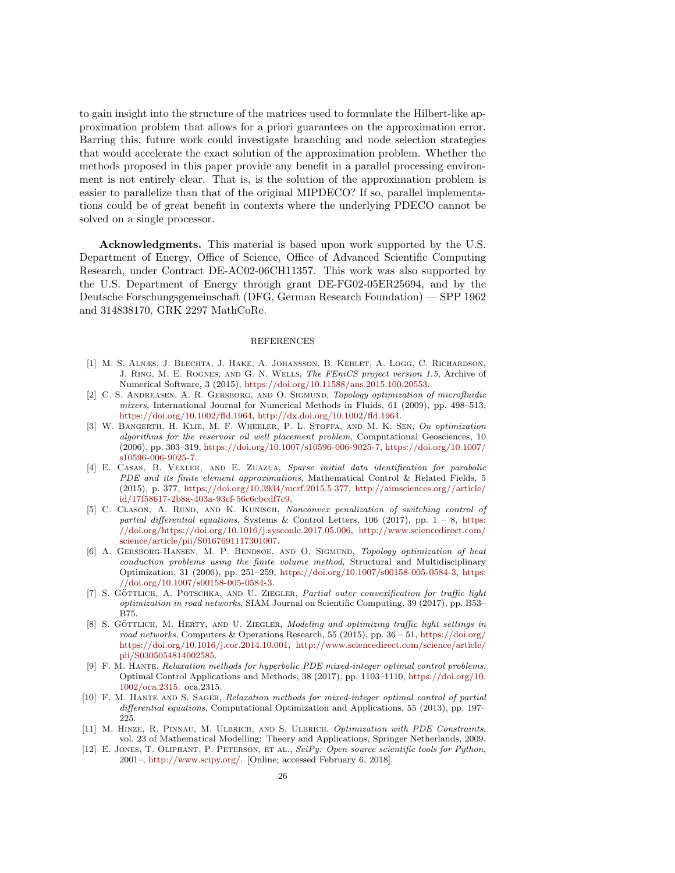to gain insight into the structure of the matrices used to formulate the Hilbert-like approximation problem that allows for a priori guarantees on the approximation error. Barring this, future work could investigate branching and node selection strategies that would accelerate the exact solution of the approximation problem. Whether the methods proposed in this paper provide any benefit in a parallel processing environment is not entirely clear. That is, is the solution of the approximation problem is easier to parallelize than that of the original MIPDECO? If so, parallel implementations could be of great benefit in contexts where the underlying PDECO cannot be solved on a single processor.

Acknowledgments. This material is based upon work supported by the U.S. Department of Energy, Office of Science, Office of Advanced Scientific Computing Research, under Contract DE-AC02-06CH11357. This work was also supported by the U.S. Department of Energy through grant DE-FG02-05ER25694, and by the Deutsche Forschungsgemeinschaft (DFG, German Research Foundation) — SPP 1962 and 314838170, GRK 2297 MathCoRe.

### REFERENCES

- <span id="page-26-9"></span>[1] M. S. Alnæs, J. Blechta, J. Hake, A. Johansson, B. Kehlet, A. Logg, C. Richardson, J. Ring, M. E. Rognes, and G. N. Wells, The FEniCS project version 1.5, Archive of Numerical Software, 3 (2015), [https://doi.org/10.11588/ans.2015.100.20553.](https://doi.org/10.11588/ans.2015.100.20553)
- <span id="page-26-3"></span>[2] C. S. Andreasen, A. R. Gersborg, and O. Sigmund, Topology optimization of microfluidic mixers, International Journal for Numerical Methods in Fluids, 61 (2009), pp. 498–513, [https://doi.org/10.1002/fld.1964,](https://doi.org/10.1002/fld.1964) [http://dx.doi.org/10.1002/fld.1964.](http://dx.doi.org/10.1002/fld.1964)
- <span id="page-26-2"></span>[3] W. Bangerth, H. Klie, M. F. Wheeler, P. L. Stoffa, and M. K. Sen, On optimization algorithms for the reservoir oil well placement problem, Computational Geosciences, 10 (2006), pp. 303–319, [https://doi.org/10.1007/s10596-006-9025-7,](https://doi.org/10.1007/s10596-006-9025-7) [https://doi.org/10.1007/](https://doi.org/10.1007/s10596-006-9025-7) [s10596-006-9025-7.](https://doi.org/10.1007/s10596-006-9025-7)
- <span id="page-26-4"></span>[4] E. Casas, B. Vexler, and E. Zuazua, Sparse initial data identification for parabolic PDE and its finite element approximations, Mathematical Control & Related Fields, 5 (2015), p. 377, [https://doi.org/10.3934/mcrf.2015.5.377,](https://doi.org/10.3934/mcrf.2015.5.377) [http://aimsciences.org//article/](http://aimsciences.org//article/id/17f58617-2b8a-403a-93cf-56c6cbcdf7c9) [id/17f58617-2b8a-403a-93cf-56c6cbcdf7c9.](http://aimsciences.org//article/id/17f58617-2b8a-403a-93cf-56c6cbcdf7c9)
- <span id="page-26-5"></span>[5] C. CLASON, A. RUND, AND K. KUNISCH, Nonconvex penalization of switching control of partial differential equations, Systems & Control Letters, 106 (2017), pp.  $1 - 8$ , [https:](https://doi.org/https://doi.org/10.1016/j.sysconle.2017.05.006) [//doi.org/https://doi.org/10.1016/j.sysconle.2017.05.006,](https://doi.org/https://doi.org/10.1016/j.sysconle.2017.05.006) [http://www.sciencedirect.com/](http://www.sciencedirect.com/science/article/pii/S0167691117301007) [science/article/pii/S0167691117301007.](http://www.sciencedirect.com/science/article/pii/S0167691117301007)
- <span id="page-26-11"></span>[6] A. GERSBORG-HANSEN, M. P. BENDSØE, AND O. SIGMUND, Topology optimization of heat conduction problems using the finite volume method, Structural and Multidisciplinary Optimization, 31 (2006), pp. 251–259, [https://doi.org/10.1007/s00158-005-0584-3,](https://doi.org/10.1007/s00158-005-0584-3) [https:](https://doi.org/10.1007/s00158-005-0584-3) [//doi.org/10.1007/s00158-005-0584-3.](https://doi.org/10.1007/s00158-005-0584-3)
- <span id="page-26-1"></span>[7] S. GÖTTLICH, A. POTSCHKA, AND U. ZIEGLER, Partial outer convexification for traffic light optimization in road networks, SIAM Journal on Scientific Computing, 39 (2017), pp. B53– B75.
- <span id="page-26-0"></span>[8] S. GÖTTLICH, M. HERTY, AND U. ZIEGLER, Modeling and optimizing traffic light settings in road networks, Computers & Operations Research, 55 (2015), pp.  $36 - 51$ , [https://doi.org/](https://doi.org/https://doi.org/10.1016/j.cor.2014.10.001) [https://doi.org/10.1016/j.cor.2014.10.001,](https://doi.org/https://doi.org/10.1016/j.cor.2014.10.001) [http://www.sciencedirect.com/science/article/](http://www.sciencedirect.com/science/article/pii/S0305054814002585) [pii/S0305054814002585.](http://www.sciencedirect.com/science/article/pii/S0305054814002585)
- <span id="page-26-8"></span>[9] F. M. HANTE, Relaxation methods for hyperbolic PDE mixed-integer optimal control problems, Optimal Control Applications and Methods, 38 (2017), pp. 1103–1110, [https://doi.org/10.](https://doi.org/10.1002/oca.2315) [1002/oca.2315.](https://doi.org/10.1002/oca.2315) oca.2315.
- <span id="page-26-7"></span>[10] F. M. Hante and S. Sager, Relaxation methods for mixed-integer optimal control of partial differential equations, Computational Optimization and Applications, 55 (2013), pp. 197– 225.
- <span id="page-26-6"></span>[11] M. HINZE, R. PINNAU, M. ULBRICH, AND S. ULBRICH, Optimization with PDE Constraints, vol. 23 of Mathematical Modelling: Theory and Applications, Springer Netherlands, 2009.
- <span id="page-26-10"></span>[12] E. Jones, T. Oliphant, P. Peterson, et al., SciPy: Open source scientific tools for Python, 2001–, [http://www.scipy.org/.](http://www.scipy.org/) [Online; accessed February 6, 2018].